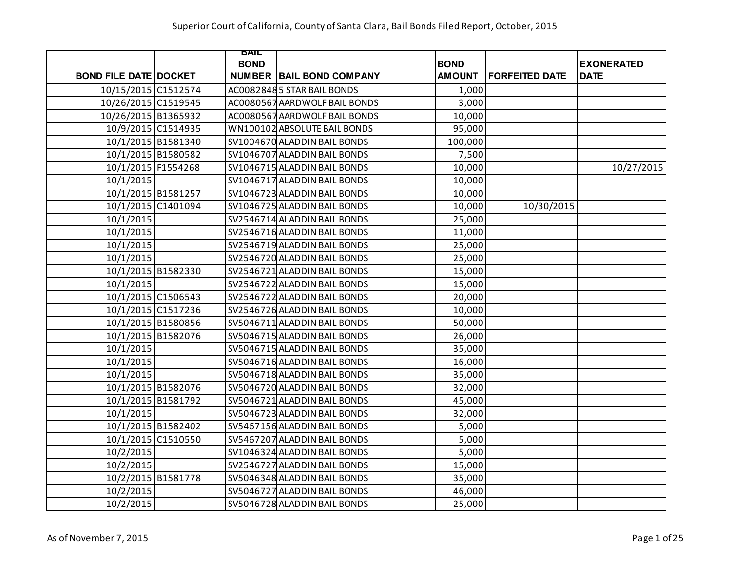|                              | BAIL        |                                 |               |                       |                   |
|------------------------------|-------------|---------------------------------|---------------|-----------------------|-------------------|
|                              | <b>BOND</b> |                                 | <b>BOND</b>   |                       | <b>EXONERATED</b> |
| <b>BOND FILE DATE DOCKET</b> |             | <b>NUMBER BAIL BOND COMPANY</b> | <b>AMOUNT</b> | <b>FORFEITED DATE</b> | <b>DATE</b>       |
| 10/15/2015 C1512574          |             | AC00828485 STAR BAIL BONDS      | 1,000         |                       |                   |
| 10/26/2015 C1519545          |             | AC0080567 AARDWOLF BAIL BONDS   | 3,000         |                       |                   |
| 10/26/2015 B1365932          |             | AC0080567 AARDWOLF BAIL BONDS   | 10,000        |                       |                   |
| 10/9/2015 C1514935           |             | WN100102 ABSOLUTE BAIL BONDS    | 95,000        |                       |                   |
| 10/1/2015 B1581340           |             | SV1004670 ALADDIN BAIL BONDS    | 100,000       |                       |                   |
| 10/1/2015 B1580582           |             | SV1046707 ALADDIN BAIL BONDS    | 7,500         |                       |                   |
| 10/1/2015 F1554268           |             | SV1046715 ALADDIN BAIL BONDS    | 10,000        |                       | 10/27/2015        |
| 10/1/2015                    |             | SV1046717 ALADDIN BAIL BONDS    | 10,000        |                       |                   |
| 10/1/2015 B1581257           |             | SV1046723 ALADDIN BAIL BONDS    | 10,000        |                       |                   |
| 10/1/2015 C1401094           |             | SV1046725 ALADDIN BAIL BONDS    | 10,000        | 10/30/2015            |                   |
| 10/1/2015                    |             | SV2546714 ALADDIN BAIL BONDS    | 25,000        |                       |                   |
| 10/1/2015                    |             | SV2546716 ALADDIN BAIL BONDS    | 11,000        |                       |                   |
| 10/1/2015                    |             | SV2546719 ALADDIN BAIL BONDS    | 25,000        |                       |                   |
| 10/1/2015                    |             | SV2546720 ALADDIN BAIL BONDS    | 25,000        |                       |                   |
| 10/1/2015 B1582330           |             | SV2546721 ALADDIN BAIL BONDS    | 15,000        |                       |                   |
| 10/1/2015                    |             | SV2546722 ALADDIN BAIL BONDS    | 15,000        |                       |                   |
| 10/1/2015 C1506543           |             | SV2546722 ALADDIN BAIL BONDS    | 20,000        |                       |                   |
| 10/1/2015 C1517236           |             | SV2546726 ALADDIN BAIL BONDS    | 10,000        |                       |                   |
| 10/1/2015 B1580856           |             | SV5046711 ALADDIN BAIL BONDS    | 50,000        |                       |                   |
| 10/1/2015 B1582076           |             | SV5046715 ALADDIN BAIL BONDS    | 26,000        |                       |                   |
| 10/1/2015                    |             | SV5046715 ALADDIN BAIL BONDS    | 35,000        |                       |                   |
| 10/1/2015                    |             | SV5046716 ALADDIN BAIL BONDS    | 16,000        |                       |                   |
| 10/1/2015                    |             | SV5046718 ALADDIN BAIL BONDS    | 35,000        |                       |                   |
| 10/1/2015 B1582076           |             | SV5046720 ALADDIN BAIL BONDS    | 32,000        |                       |                   |
| 10/1/2015 B1581792           |             | SV5046721 ALADDIN BAIL BONDS    | 45,000        |                       |                   |
| 10/1/2015                    |             | SV5046723 ALADDIN BAIL BONDS    | 32,000        |                       |                   |
| 10/1/2015 B1582402           |             | SV5467156 ALADDIN BAIL BONDS    | 5,000         |                       |                   |
| 10/1/2015 C1510550           |             | SV5467207 ALADDIN BAIL BONDS    | 5,000         |                       |                   |
| 10/2/2015                    |             | SV1046324 ALADDIN BAIL BONDS    | 5,000         |                       |                   |
| 10/2/2015                    |             | SV2546727 ALADDIN BAIL BONDS    | 15,000        |                       |                   |
| 10/2/2015 B1581778           |             | SV5046348 ALADDIN BAIL BONDS    | 35,000        |                       |                   |
| 10/2/2015                    |             | SV5046727 ALADDIN BAIL BONDS    | 46,000        |                       |                   |
| 10/2/2015                    |             | SV5046728 ALADDIN BAIL BONDS    | 25,000        |                       |                   |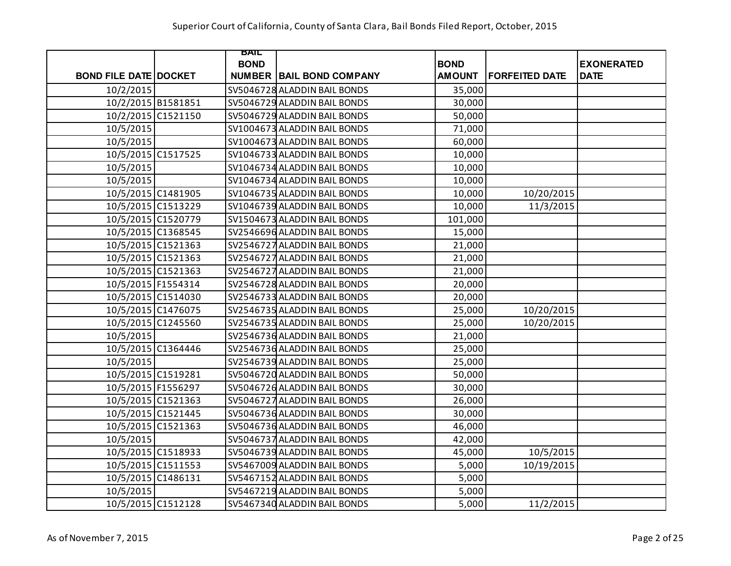|                              | BAIL        |                                 |               |                       |                   |
|------------------------------|-------------|---------------------------------|---------------|-----------------------|-------------------|
|                              | <b>BOND</b> |                                 | <b>BOND</b>   |                       | <b>EXONERATED</b> |
| <b>BOND FILE DATE DOCKET</b> |             | <b>NUMBER BAIL BOND COMPANY</b> | <b>AMOUNT</b> | <b>FORFEITED DATE</b> | <b>DATE</b>       |
| 10/2/2015                    |             | SV5046728 ALADDIN BAIL BONDS    | 35,000        |                       |                   |
| 10/2/2015 B1581851           |             | SV5046729 ALADDIN BAIL BONDS    | 30,000        |                       |                   |
| 10/2/2015 C1521150           |             | SV5046729 ALADDIN BAIL BONDS    | 50,000        |                       |                   |
| 10/5/2015                    |             | SV1004673 ALADDIN BAIL BONDS    | 71,000        |                       |                   |
| 10/5/2015                    |             | SV1004673 ALADDIN BAIL BONDS    | 60,000        |                       |                   |
| 10/5/2015 C1517525           |             | SV1046733 ALADDIN BAIL BONDS    | 10,000        |                       |                   |
| 10/5/2015                    |             | SV1046734 ALADDIN BAIL BONDS    | 10,000        |                       |                   |
| 10/5/2015                    |             | SV1046734 ALADDIN BAIL BONDS    | 10,000        |                       |                   |
| 10/5/2015 C1481905           |             | SV1046735 ALADDIN BAIL BONDS    | 10,000        | 10/20/2015            |                   |
| 10/5/2015 C1513229           |             | SV1046739 ALADDIN BAIL BONDS    | 10,000        | 11/3/2015             |                   |
| 10/5/2015 C1520779           |             | SV1504673 ALADDIN BAIL BONDS    | 101,000       |                       |                   |
| 10/5/2015 C1368545           |             | SV2546696 ALADDIN BAIL BONDS    | 15,000        |                       |                   |
| 10/5/2015 C1521363           |             | SV2546727 ALADDIN BAIL BONDS    | 21,000        |                       |                   |
| 10/5/2015 C1521363           |             | SV2546727 ALADDIN BAIL BONDS    | 21,000        |                       |                   |
| 10/5/2015 C1521363           |             | SV2546727 ALADDIN BAIL BONDS    | 21,000        |                       |                   |
| 10/5/2015 F1554314           |             | SV2546728 ALADDIN BAIL BONDS    | 20,000        |                       |                   |
| 10/5/2015 C1514030           |             | SV2546733 ALADDIN BAIL BONDS    | 20,000        |                       |                   |
| 10/5/2015 C1476075           |             | SV2546735 ALADDIN BAIL BONDS    | 25,000        | 10/20/2015            |                   |
| 10/5/2015 C1245560           |             | SV2546735 ALADDIN BAIL BONDS    | 25,000        | 10/20/2015            |                   |
| 10/5/2015                    |             | SV2546736 ALADDIN BAIL BONDS    | 21,000        |                       |                   |
| 10/5/2015 C1364446           |             | SV2546736 ALADDIN BAIL BONDS    | 25,000        |                       |                   |
| 10/5/2015                    |             | SV2546739 ALADDIN BAIL BONDS    | 25,000        |                       |                   |
| 10/5/2015 C1519281           |             | SV5046720 ALADDIN BAIL BONDS    | 50,000        |                       |                   |
| 10/5/2015 F1556297           |             | SV5046726 ALADDIN BAIL BONDS    | 30,000        |                       |                   |
| 10/5/2015 C1521363           |             | SV5046727 ALADDIN BAIL BONDS    | 26,000        |                       |                   |
| 10/5/2015 C1521445           |             | SV5046736 ALADDIN BAIL BONDS    | 30,000        |                       |                   |
| 10/5/2015 C1521363           |             | SV5046736 ALADDIN BAIL BONDS    | 46,000        |                       |                   |
| 10/5/2015                    |             | SV5046737 ALADDIN BAIL BONDS    | 42,000        |                       |                   |
| 10/5/2015 C1518933           |             | SV5046739 ALADDIN BAIL BONDS    | 45,000        | 10/5/2015             |                   |
| 10/5/2015 C1511553           |             | SV5467009 ALADDIN BAIL BONDS    | 5,000         | 10/19/2015            |                   |
| 10/5/2015 C1486131           |             | SV5467152 ALADDIN BAIL BONDS    | 5,000         |                       |                   |
| 10/5/2015                    |             | SV5467219 ALADDIN BAIL BONDS    | 5,000         |                       |                   |
| 10/5/2015 C1512128           |             | SV5467340 ALADDIN BAIL BONDS    | 5,000         | 11/2/2015             |                   |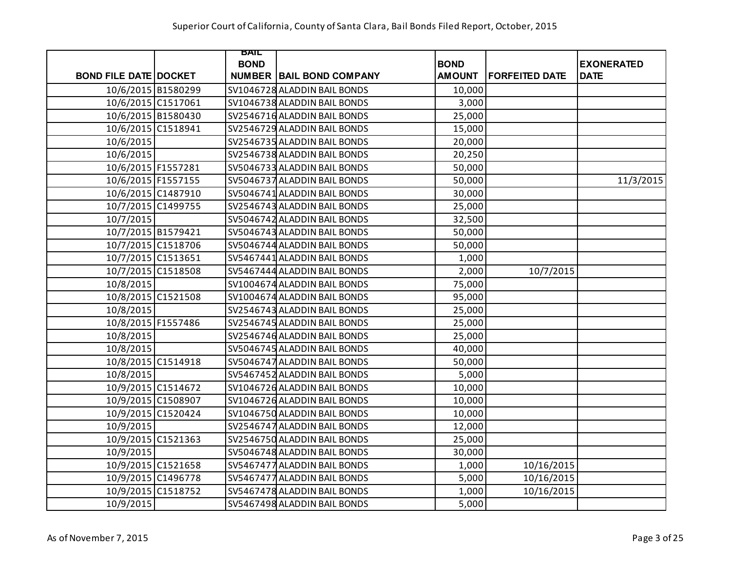|                              | BAIL        |                                 |               |                       |                   |
|------------------------------|-------------|---------------------------------|---------------|-----------------------|-------------------|
|                              | <b>BOND</b> |                                 | <b>BOND</b>   |                       | <b>EXONERATED</b> |
| <b>BOND FILE DATE DOCKET</b> |             | <b>NUMBER BAIL BOND COMPANY</b> | <b>AMOUNT</b> | <b>FORFEITED DATE</b> | <b>DATE</b>       |
| 10/6/2015 B1580299           |             | SV1046728 ALADDIN BAIL BONDS    | 10,000        |                       |                   |
| 10/6/2015 C1517061           |             | SV1046738 ALADDIN BAIL BONDS    | 3,000         |                       |                   |
| 10/6/2015 B1580430           |             | SV2546716 ALADDIN BAIL BONDS    | 25,000        |                       |                   |
| 10/6/2015 C1518941           |             | SV2546729 ALADDIN BAIL BONDS    | 15,000        |                       |                   |
| 10/6/2015                    |             | SV2546735 ALADDIN BAIL BONDS    | 20,000        |                       |                   |
| 10/6/2015                    |             | SV2546738 ALADDIN BAIL BONDS    | 20,250        |                       |                   |
| 10/6/2015 F1557281           |             | SV5046733 ALADDIN BAIL BONDS    | 50,000        |                       |                   |
| 10/6/2015 F1557155           |             | SV5046737 ALADDIN BAIL BONDS    | 50,000        |                       | 11/3/2015         |
| 10/6/2015 C1487910           |             | SV5046741 ALADDIN BAIL BONDS    | 30,000        |                       |                   |
| 10/7/2015 C1499755           |             | SV2546743 ALADDIN BAIL BONDS    | 25,000        |                       |                   |
| 10/7/2015                    |             | SV5046742 ALADDIN BAIL BONDS    | 32,500        |                       |                   |
| 10/7/2015 B1579421           |             | SV5046743 ALADDIN BAIL BONDS    | 50,000        |                       |                   |
| 10/7/2015 C1518706           |             | SV5046744 ALADDIN BAIL BONDS    | 50,000        |                       |                   |
| 10/7/2015 C1513651           |             | SV5467441 ALADDIN BAIL BONDS    | 1,000         |                       |                   |
| 10/7/2015 C1518508           |             | SV5467444 ALADDIN BAIL BONDS    | 2,000         | 10/7/2015             |                   |
| 10/8/2015                    |             | SV1004674 ALADDIN BAIL BONDS    | 75,000        |                       |                   |
| 10/8/2015 C1521508           |             | SV1004674 ALADDIN BAIL BONDS    | 95,000        |                       |                   |
| 10/8/2015                    |             | SV2546743 ALADDIN BAIL BONDS    | 25,000        |                       |                   |
| 10/8/2015 F1557486           |             | SV2546745 ALADDIN BAIL BONDS    | 25,000        |                       |                   |
| 10/8/2015                    |             | SV2546746 ALADDIN BAIL BONDS    | 25,000        |                       |                   |
| 10/8/2015                    |             | SV5046745 ALADDIN BAIL BONDS    | 40,000        |                       |                   |
| 10/8/2015 C1514918           |             | SV5046747 ALADDIN BAIL BONDS    | 50,000        |                       |                   |
| 10/8/2015                    |             | SV5467452 ALADDIN BAIL BONDS    | 5,000         |                       |                   |
| 10/9/2015 C1514672           |             | SV1046726 ALADDIN BAIL BONDS    | 10,000        |                       |                   |
| 10/9/2015 C1508907           |             | SV1046726 ALADDIN BAIL BONDS    | 10,000        |                       |                   |
| 10/9/2015 C1520424           |             | SV1046750 ALADDIN BAIL BONDS    | 10,000        |                       |                   |
| 10/9/2015                    |             | SV2546747 ALADDIN BAIL BONDS    | 12,000        |                       |                   |
| 10/9/2015 C1521363           |             | SV2546750 ALADDIN BAIL BONDS    | 25,000        |                       |                   |
| 10/9/2015                    |             | SV5046748 ALADDIN BAIL BONDS    | 30,000        |                       |                   |
| 10/9/2015 C1521658           |             | SV5467477 ALADDIN BAIL BONDS    | 1,000         | 10/16/2015            |                   |
| 10/9/2015 C1496778           |             | SV5467477 ALADDIN BAIL BONDS    | 5,000         | 10/16/2015            |                   |
| 10/9/2015 C1518752           |             | SV5467478 ALADDIN BAIL BONDS    | 1,000         | 10/16/2015            |                   |
| 10/9/2015                    |             | SV5467498 ALADDIN BAIL BONDS    | 5,000         |                       |                   |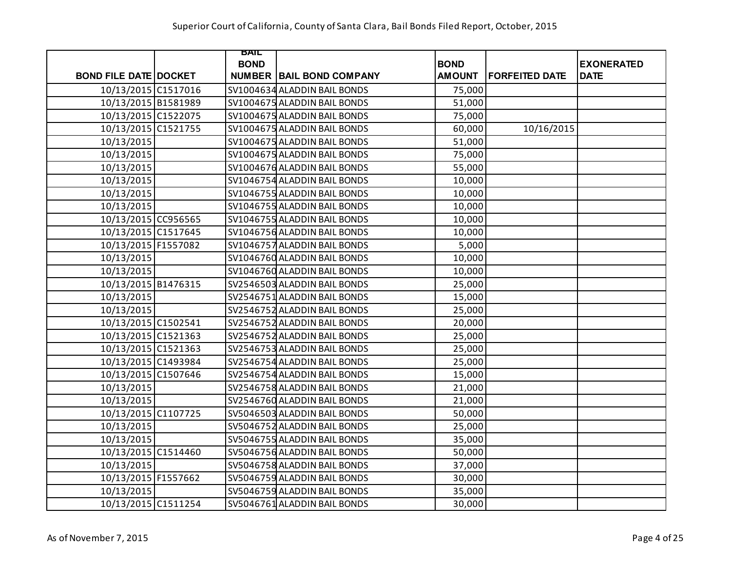|                              | <b>BAIL</b> |                                 |               |                       |                   |
|------------------------------|-------------|---------------------------------|---------------|-----------------------|-------------------|
|                              | <b>BOND</b> |                                 | <b>BOND</b>   |                       | <b>EXONERATED</b> |
| <b>BOND FILE DATE DOCKET</b> |             | <b>NUMBER BAIL BOND COMPANY</b> | <b>AMOUNT</b> | <b>FORFEITED DATE</b> | <b>DATE</b>       |
| 10/13/2015 C1517016          |             | SV1004634 ALADDIN BAIL BONDS    | 75,000        |                       |                   |
| 10/13/2015 B1581989          |             | SV1004675 ALADDIN BAIL BONDS    | 51,000        |                       |                   |
| 10/13/2015 C1522075          |             | SV1004675 ALADDIN BAIL BONDS    | 75,000        |                       |                   |
| 10/13/2015 C1521755          |             | SV1004675 ALADDIN BAIL BONDS    | 60,000        | 10/16/2015            |                   |
| 10/13/2015                   |             | SV1004675 ALADDIN BAIL BONDS    | 51,000        |                       |                   |
| 10/13/2015                   |             | SV1004675 ALADDIN BAIL BONDS    | 75,000        |                       |                   |
| 10/13/2015                   |             | SV1004676 ALADDIN BAIL BONDS    | 55,000        |                       |                   |
| 10/13/2015                   |             | SV1046754 ALADDIN BAIL BONDS    | 10,000        |                       |                   |
| 10/13/2015                   |             | SV1046755 ALADDIN BAIL BONDS    | 10,000        |                       |                   |
| 10/13/2015                   |             | SV1046755 ALADDIN BAIL BONDS    | 10,000        |                       |                   |
| 10/13/2015 CC956565          |             | SV1046755 ALADDIN BAIL BONDS    | 10,000        |                       |                   |
| 10/13/2015 C1517645          |             | SV1046756 ALADDIN BAIL BONDS    | 10,000        |                       |                   |
| 10/13/2015 F1557082          |             | SV1046757 ALADDIN BAIL BONDS    | 5,000         |                       |                   |
| 10/13/2015                   |             | SV1046760 ALADDIN BAIL BONDS    | 10,000        |                       |                   |
| 10/13/2015                   |             | SV1046760 ALADDIN BAIL BONDS    | 10,000        |                       |                   |
| 10/13/2015 B1476315          |             | SV2546503 ALADDIN BAIL BONDS    | 25,000        |                       |                   |
| 10/13/2015                   |             | SV2546751 ALADDIN BAIL BONDS    | 15,000        |                       |                   |
| 10/13/2015                   |             | SV2546752 ALADDIN BAIL BONDS    | 25,000        |                       |                   |
| 10/13/2015 C1502541          |             | SV2546752 ALADDIN BAIL BONDS    | 20,000        |                       |                   |
| 10/13/2015 C1521363          |             | SV2546752 ALADDIN BAIL BONDS    | 25,000        |                       |                   |
| 10/13/2015 C1521363          |             | SV2546753 ALADDIN BAIL BONDS    | 25,000        |                       |                   |
| 10/13/2015 C1493984          |             | SV2546754 ALADDIN BAIL BONDS    | 25,000        |                       |                   |
| 10/13/2015 C1507646          |             | SV2546754 ALADDIN BAIL BONDS    | 15,000        |                       |                   |
| 10/13/2015                   |             | SV2546758 ALADDIN BAIL BONDS    | 21,000        |                       |                   |
| 10/13/2015                   |             | SV2546760 ALADDIN BAIL BONDS    | 21,000        |                       |                   |
| 10/13/2015 C1107725          |             | SV5046503 ALADDIN BAIL BONDS    | 50,000        |                       |                   |
| 10/13/2015                   |             | SV5046752 ALADDIN BAIL BONDS    | 25,000        |                       |                   |
| 10/13/2015                   |             | SV5046755 ALADDIN BAIL BONDS    | 35,000        |                       |                   |
| 10/13/2015 C1514460          |             | SV5046756 ALADDIN BAIL BONDS    | 50,000        |                       |                   |
| 10/13/2015                   |             | SV5046758 ALADDIN BAIL BONDS    | 37,000        |                       |                   |
| 10/13/2015 F1557662          |             | SV5046759 ALADDIN BAIL BONDS    | 30,000        |                       |                   |
| 10/13/2015                   |             | SV5046759 ALADDIN BAIL BONDS    | 35,000        |                       |                   |
| 10/13/2015 C1511254          |             | SV5046761 ALADDIN BAIL BONDS    | 30,000        |                       |                   |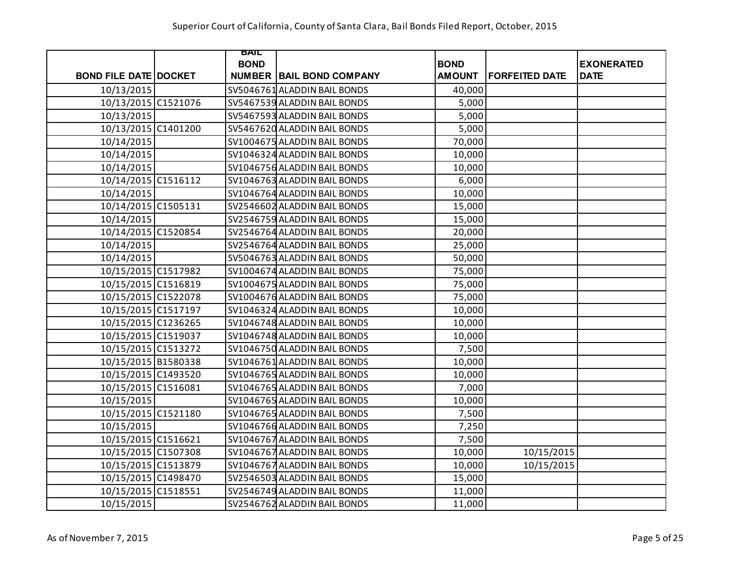|                              | BAIL        |                                 |               |                       |                   |
|------------------------------|-------------|---------------------------------|---------------|-----------------------|-------------------|
|                              | <b>BOND</b> |                                 | <b>BOND</b>   |                       | <b>EXONERATED</b> |
| <b>BOND FILE DATE DOCKET</b> |             | <b>NUMBER BAIL BOND COMPANY</b> | <b>AMOUNT</b> | <b>FORFEITED DATE</b> | <b>DATE</b>       |
| 10/13/2015                   |             | SV5046761 ALADDIN BAIL BONDS    | 40,000        |                       |                   |
| 10/13/2015 C1521076          |             | SV5467539 ALADDIN BAIL BONDS    | 5,000         |                       |                   |
| 10/13/2015                   |             | SV5467593 ALADDIN BAIL BONDS    | 5,000         |                       |                   |
| 10/13/2015 C1401200          |             | SV5467620 ALADDIN BAIL BONDS    | 5,000         |                       |                   |
| 10/14/2015                   |             | SV1004675 ALADDIN BAIL BONDS    | 70,000        |                       |                   |
| 10/14/2015                   |             | SV1046324 ALADDIN BAIL BONDS    | 10,000        |                       |                   |
| 10/14/2015                   |             | SV1046756 ALADDIN BAIL BONDS    | 10,000        |                       |                   |
| 10/14/2015 C1516112          |             | SV1046763 ALADDIN BAIL BONDS    | 6,000         |                       |                   |
| 10/14/2015                   |             | SV1046764 ALADDIN BAIL BONDS    | 10,000        |                       |                   |
| 10/14/2015 C1505131          |             | SV2546602 ALADDIN BAIL BONDS    | 15,000        |                       |                   |
| 10/14/2015                   |             | SV2546759 ALADDIN BAIL BONDS    | 15,000        |                       |                   |
| 10/14/2015 C1520854          |             | SV2546764 ALADDIN BAIL BONDS    | 20,000        |                       |                   |
| 10/14/2015                   |             | SV2546764 ALADDIN BAIL BONDS    | 25,000        |                       |                   |
| 10/14/2015                   |             | SV5046763 ALADDIN BAIL BONDS    | 50,000        |                       |                   |
| 10/15/2015 C1517982          |             | SV1004674 ALADDIN BAIL BONDS    | 75,000        |                       |                   |
| 10/15/2015 C1516819          |             | SV1004675 ALADDIN BAIL BONDS    | 75,000        |                       |                   |
| 10/15/2015 C1522078          |             | SV1004676 ALADDIN BAIL BONDS    | 75,000        |                       |                   |
| 10/15/2015 C1517197          |             | SV1046324 ALADDIN BAIL BONDS    | 10,000        |                       |                   |
| 10/15/2015 C1236265          |             | SV1046748 ALADDIN BAIL BONDS    | 10,000        |                       |                   |
| 10/15/2015 C1519037          |             | SV1046748 ALADDIN BAIL BONDS    | 10,000        |                       |                   |
| 10/15/2015 C1513272          |             | SV1046750 ALADDIN BAIL BONDS    | 7,500         |                       |                   |
| 10/15/2015 B1580338          |             | SV1046761 ALADDIN BAIL BONDS    | 10,000        |                       |                   |
| 10/15/2015 C1493520          |             | SV1046765 ALADDIN BAIL BONDS    | 10,000        |                       |                   |
| 10/15/2015 C1516081          |             | SV1046765 ALADDIN BAIL BONDS    | 7,000         |                       |                   |
| 10/15/2015                   |             | SV1046765 ALADDIN BAIL BONDS    | 10,000        |                       |                   |
| 10/15/2015 C1521180          |             | SV1046765 ALADDIN BAIL BONDS    | 7,500         |                       |                   |
| 10/15/2015                   |             | SV1046766 ALADDIN BAIL BONDS    | 7,250         |                       |                   |
| 10/15/2015 C1516621          |             | SV1046767 ALADDIN BAIL BONDS    | 7,500         |                       |                   |
| 10/15/2015 C1507308          |             | SV1046767 ALADDIN BAIL BONDS    | 10,000        | 10/15/2015            |                   |
| 10/15/2015 C1513879          |             | SV1046767 ALADDIN BAIL BONDS    | 10,000        | 10/15/2015            |                   |
| 10/15/2015 C1498470          |             | SV2546503 ALADDIN BAIL BONDS    | 15,000        |                       |                   |
| 10/15/2015 C1518551          |             | SV2546749 ALADDIN BAIL BONDS    | 11,000        |                       |                   |
| 10/15/2015                   |             | SV2546762 ALADDIN BAIL BONDS    | 11,000        |                       |                   |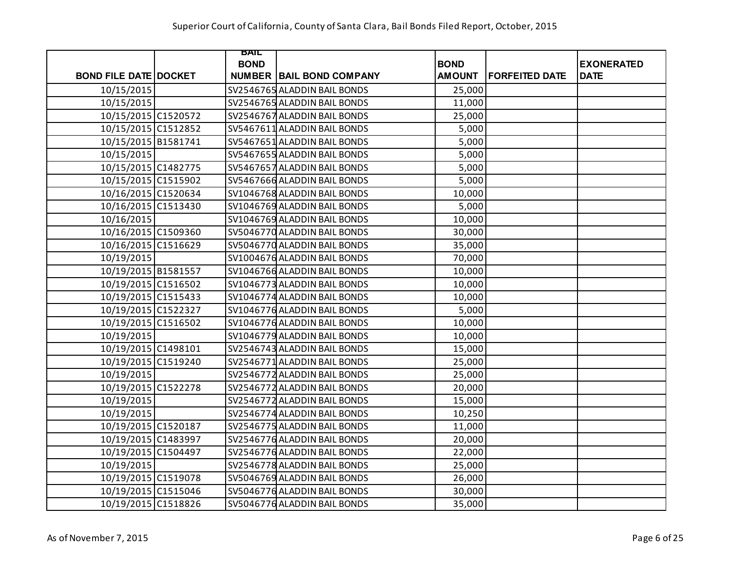|                              | BAIL        |                                 |               |                       |                   |
|------------------------------|-------------|---------------------------------|---------------|-----------------------|-------------------|
|                              | <b>BOND</b> |                                 | <b>BOND</b>   |                       | <b>EXONERATED</b> |
| <b>BOND FILE DATE DOCKET</b> |             | <b>NUMBER BAIL BOND COMPANY</b> | <b>AMOUNT</b> | <b>FORFEITED DATE</b> | <b>DATE</b>       |
| 10/15/2015                   |             | SV2546765 ALADDIN BAIL BONDS    | 25,000        |                       |                   |
| 10/15/2015                   |             | SV2546765 ALADDIN BAIL BONDS    | 11,000        |                       |                   |
| 10/15/2015 C1520572          |             | SV2546767 ALADDIN BAIL BONDS    | 25,000        |                       |                   |
| 10/15/2015 C1512852          |             | SV5467611 ALADDIN BAIL BONDS    | 5,000         |                       |                   |
| 10/15/2015 B1581741          |             | SV5467651 ALADDIN BAIL BONDS    | 5,000         |                       |                   |
| 10/15/2015                   |             | SV5467655 ALADDIN BAIL BONDS    | 5,000         |                       |                   |
| 10/15/2015 C1482775          |             | SV5467657 ALADDIN BAIL BONDS    | 5,000         |                       |                   |
| 10/15/2015 C1515902          |             | SV5467666 ALADDIN BAIL BONDS    | 5,000         |                       |                   |
| 10/16/2015 C1520634          |             | SV1046768 ALADDIN BAIL BONDS    | 10,000        |                       |                   |
| 10/16/2015 C1513430          |             | SV1046769 ALADDIN BAIL BONDS    | 5,000         |                       |                   |
| 10/16/2015                   |             | SV1046769 ALADDIN BAIL BONDS    | 10,000        |                       |                   |
| 10/16/2015 C1509360          |             | SV5046770 ALADDIN BAIL BONDS    | 30,000        |                       |                   |
| 10/16/2015 C1516629          |             | SV5046770 ALADDIN BAIL BONDS    | 35,000        |                       |                   |
| 10/19/2015                   |             | SV1004676 ALADDIN BAIL BONDS    | 70,000        |                       |                   |
| 10/19/2015 B1581557          |             | SV1046766 ALADDIN BAIL BONDS    | 10,000        |                       |                   |
| 10/19/2015 C1516502          |             | SV1046773 ALADDIN BAIL BONDS    | 10,000        |                       |                   |
| 10/19/2015 C1515433          |             | SV1046774 ALADDIN BAIL BONDS    | 10,000        |                       |                   |
| 10/19/2015 C1522327          |             | SV1046776 ALADDIN BAIL BONDS    | 5,000         |                       |                   |
| 10/19/2015 C1516502          |             | SV1046776 ALADDIN BAIL BONDS    | 10,000        |                       |                   |
| 10/19/2015                   |             | SV1046779 ALADDIN BAIL BONDS    | 10,000        |                       |                   |
| 10/19/2015 C1498101          |             | SV2546743 ALADDIN BAIL BONDS    | 15,000        |                       |                   |
| 10/19/2015 C1519240          |             | SV2546771 ALADDIN BAIL BONDS    | 25,000        |                       |                   |
| 10/19/2015                   |             | SV2546772 ALADDIN BAIL BONDS    | 25,000        |                       |                   |
| 10/19/2015 C1522278          |             | SV2546772 ALADDIN BAIL BONDS    | 20,000        |                       |                   |
| 10/19/2015                   |             | SV2546772 ALADDIN BAIL BONDS    | 15,000        |                       |                   |
| 10/19/2015                   |             | SV2546774 ALADDIN BAIL BONDS    | 10,250        |                       |                   |
| 10/19/2015 C1520187          |             | SV2546775 ALADDIN BAIL BONDS    | 11,000        |                       |                   |
| 10/19/2015 C1483997          |             | SV2546776 ALADDIN BAIL BONDS    | 20,000        |                       |                   |
| 10/19/2015 C1504497          |             | SV2546776 ALADDIN BAIL BONDS    | 22,000        |                       |                   |
| 10/19/2015                   |             | SV2546778 ALADDIN BAIL BONDS    | 25,000        |                       |                   |
| 10/19/2015 C1519078          |             | SV5046769 ALADDIN BAIL BONDS    | 26,000        |                       |                   |
| 10/19/2015 C1515046          |             | SV5046776 ALADDIN BAIL BONDS    | 30,000        |                       |                   |
| 10/19/2015 C1518826          |             | SV5046776 ALADDIN BAIL BONDS    | 35,000        |                       |                   |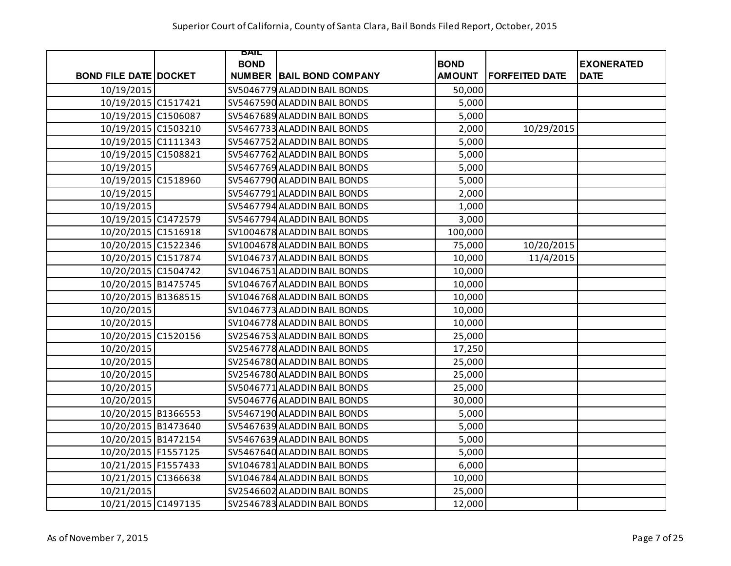|                              | BAIL        |                                 |               |                       |                   |
|------------------------------|-------------|---------------------------------|---------------|-----------------------|-------------------|
|                              | <b>BOND</b> |                                 | <b>BOND</b>   |                       | <b>EXONERATED</b> |
| <b>BOND FILE DATE DOCKET</b> |             | <b>NUMBER BAIL BOND COMPANY</b> | <b>AMOUNT</b> | <b>FORFEITED DATE</b> | <b>DATE</b>       |
| 10/19/2015                   |             | SV5046779 ALADDIN BAIL BONDS    | 50,000        |                       |                   |
| 10/19/2015 C1517421          |             | SV5467590 ALADDIN BAIL BONDS    | 5,000         |                       |                   |
| 10/19/2015 C1506087          |             | SV5467689 ALADDIN BAIL BONDS    | 5,000         |                       |                   |
| 10/19/2015 C1503210          |             | SV5467733 ALADDIN BAIL BONDS    | 2,000         | 10/29/2015            |                   |
| 10/19/2015 C1111343          |             | SV5467752 ALADDIN BAIL BONDS    | 5,000         |                       |                   |
| 10/19/2015 C1508821          |             | SV5467762 ALADDIN BAIL BONDS    | 5,000         |                       |                   |
| 10/19/2015                   |             | SV5467769 ALADDIN BAIL BONDS    | 5,000         |                       |                   |
| 10/19/2015 C1518960          |             | SV5467790 ALADDIN BAIL BONDS    | 5,000         |                       |                   |
| 10/19/2015                   |             | SV5467791 ALADDIN BAIL BONDS    | 2,000         |                       |                   |
| 10/19/2015                   |             | SV5467794 ALADDIN BAIL BONDS    | 1,000         |                       |                   |
| 10/19/2015 C1472579          |             | SV5467794 ALADDIN BAIL BONDS    | 3,000         |                       |                   |
| 10/20/2015 C1516918          |             | SV1004678 ALADDIN BAIL BONDS    | 100,000       |                       |                   |
| 10/20/2015 C1522346          |             | SV1004678 ALADDIN BAIL BONDS    | 75,000        | 10/20/2015            |                   |
| 10/20/2015 C1517874          |             | SV1046737 ALADDIN BAIL BONDS    | 10,000        | 11/4/2015             |                   |
| 10/20/2015 C1504742          |             | SV1046751 ALADDIN BAIL BONDS    | 10,000        |                       |                   |
| 10/20/2015 B1475745          |             | SV1046767 ALADDIN BAIL BONDS    | 10,000        |                       |                   |
| 10/20/2015 B1368515          |             | SV1046768 ALADDIN BAIL BONDS    | 10,000        |                       |                   |
| 10/20/2015                   |             | SV1046773 ALADDIN BAIL BONDS    | 10,000        |                       |                   |
| 10/20/2015                   |             | SV1046778 ALADDIN BAIL BONDS    | 10,000        |                       |                   |
| 10/20/2015 C1520156          |             | SV2546753 ALADDIN BAIL BONDS    | 25,000        |                       |                   |
| 10/20/2015                   |             | SV2546778 ALADDIN BAIL BONDS    | 17,250        |                       |                   |
| 10/20/2015                   |             | SV2546780 ALADDIN BAIL BONDS    | 25,000        |                       |                   |
| 10/20/2015                   |             | SV2546780 ALADDIN BAIL BONDS    | 25,000        |                       |                   |
| 10/20/2015                   |             | SV5046771 ALADDIN BAIL BONDS    | 25,000        |                       |                   |
| 10/20/2015                   |             | SV5046776 ALADDIN BAIL BONDS    | 30,000        |                       |                   |
| 10/20/2015 B1366553          |             | SV5467190 ALADDIN BAIL BONDS    | 5,000         |                       |                   |
| 10/20/2015 B1473640          |             | SV5467639 ALADDIN BAIL BONDS    | 5,000         |                       |                   |
| 10/20/2015 B1472154          |             | SV5467639 ALADDIN BAIL BONDS    | 5,000         |                       |                   |
| 10/20/2015 F1557125          |             | SV5467640 ALADDIN BAIL BONDS    | 5,000         |                       |                   |
| 10/21/2015 F1557433          |             | SV1046781 ALADDIN BAIL BONDS    | 6,000         |                       |                   |
| 10/21/2015 C1366638          |             | SV1046784 ALADDIN BAIL BONDS    | 10,000        |                       |                   |
| 10/21/2015                   |             | SV2546602 ALADDIN BAIL BONDS    | 25,000        |                       |                   |
| 10/21/2015 C1497135          |             | SV2546783 ALADDIN BAIL BONDS    | 12,000        |                       |                   |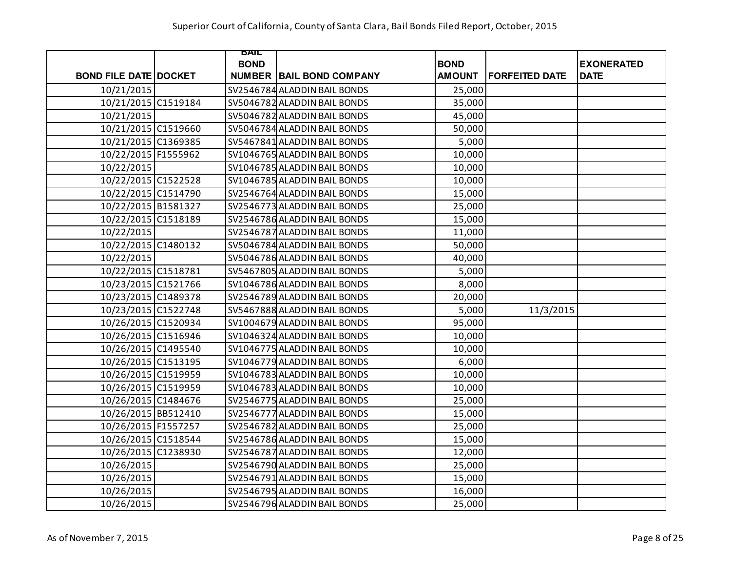|                              | BAIL        |                                 |               |                       |                   |
|------------------------------|-------------|---------------------------------|---------------|-----------------------|-------------------|
|                              | <b>BOND</b> |                                 | <b>BOND</b>   |                       | <b>EXONERATED</b> |
| <b>BOND FILE DATE DOCKET</b> |             | <b>NUMBER BAIL BOND COMPANY</b> | <b>AMOUNT</b> | <b>FORFEITED DATE</b> | <b>DATE</b>       |
| 10/21/2015                   |             | SV2546784 ALADDIN BAIL BONDS    | 25,000        |                       |                   |
| 10/21/2015 C1519184          |             | SV5046782 ALADDIN BAIL BONDS    | 35,000        |                       |                   |
| 10/21/2015                   |             | SV5046782 ALADDIN BAIL BONDS    | 45,000        |                       |                   |
| 10/21/2015 C1519660          |             | SV5046784 ALADDIN BAIL BONDS    | 50,000        |                       |                   |
| 10/21/2015 C1369385          |             | SV5467841 ALADDIN BAIL BONDS    | 5,000         |                       |                   |
| 10/22/2015 F1555962          |             | SV1046765 ALADDIN BAIL BONDS    | 10,000        |                       |                   |
| 10/22/2015                   |             | SV1046785 ALADDIN BAIL BONDS    | 10,000        |                       |                   |
| 10/22/2015 C1522528          |             | SV1046785 ALADDIN BAIL BONDS    | 10,000        |                       |                   |
| 10/22/2015 C1514790          |             | SV2546764 ALADDIN BAIL BONDS    | 15,000        |                       |                   |
| 10/22/2015 B1581327          |             | SV2546773 ALADDIN BAIL BONDS    | 25,000        |                       |                   |
| 10/22/2015 C1518189          |             | SV2546786 ALADDIN BAIL BONDS    | 15,000        |                       |                   |
| 10/22/2015                   |             | SV2546787 ALADDIN BAIL BONDS    | 11,000        |                       |                   |
| 10/22/2015 C1480132          |             | SV5046784 ALADDIN BAIL BONDS    | 50,000        |                       |                   |
| 10/22/2015                   |             | SV5046786 ALADDIN BAIL BONDS    | 40,000        |                       |                   |
| 10/22/2015 C1518781          |             | SV5467805 ALADDIN BAIL BONDS    | 5,000         |                       |                   |
| 10/23/2015 C1521766          |             | SV1046786 ALADDIN BAIL BONDS    | 8,000         |                       |                   |
| 10/23/2015 C1489378          |             | SV2546789 ALADDIN BAIL BONDS    | 20,000        |                       |                   |
| 10/23/2015 C1522748          |             | SV5467888 ALADDIN BAIL BONDS    | 5,000         | 11/3/2015             |                   |
| 10/26/2015 C1520934          |             | SV1004679 ALADDIN BAIL BONDS    | 95,000        |                       |                   |
| 10/26/2015 C1516946          |             | SV1046324 ALADDIN BAIL BONDS    | 10,000        |                       |                   |
| 10/26/2015 C1495540          |             | SV1046775 ALADDIN BAIL BONDS    | 10,000        |                       |                   |
| 10/26/2015 C1513195          |             | SV1046779 ALADDIN BAIL BONDS    | 6,000         |                       |                   |
| 10/26/2015 C1519959          |             | SV1046783 ALADDIN BAIL BONDS    | 10,000        |                       |                   |
| 10/26/2015 C1519959          |             | SV1046783 ALADDIN BAIL BONDS    | 10,000        |                       |                   |
| 10/26/2015 C1484676          |             | SV2546775 ALADDIN BAIL BONDS    | 25,000        |                       |                   |
| 10/26/2015 BB512410          |             | SV2546777 ALADDIN BAIL BONDS    | 15,000        |                       |                   |
| 10/26/2015 F1557257          |             | SV2546782 ALADDIN BAIL BONDS    | 25,000        |                       |                   |
| 10/26/2015 C1518544          |             | SV2546786 ALADDIN BAIL BONDS    | 15,000        |                       |                   |
| 10/26/2015 C1238930          |             | SV2546787 ALADDIN BAIL BONDS    | 12,000        |                       |                   |
| 10/26/2015                   |             | SV2546790 ALADDIN BAIL BONDS    | 25,000        |                       |                   |
| 10/26/2015                   |             | SV2546791 ALADDIN BAIL BONDS    | 15,000        |                       |                   |
| 10/26/2015                   |             | SV2546795 ALADDIN BAIL BONDS    | 16,000        |                       |                   |
| 10/26/2015                   |             | SV2546796 ALADDIN BAIL BONDS    | 25,000        |                       |                   |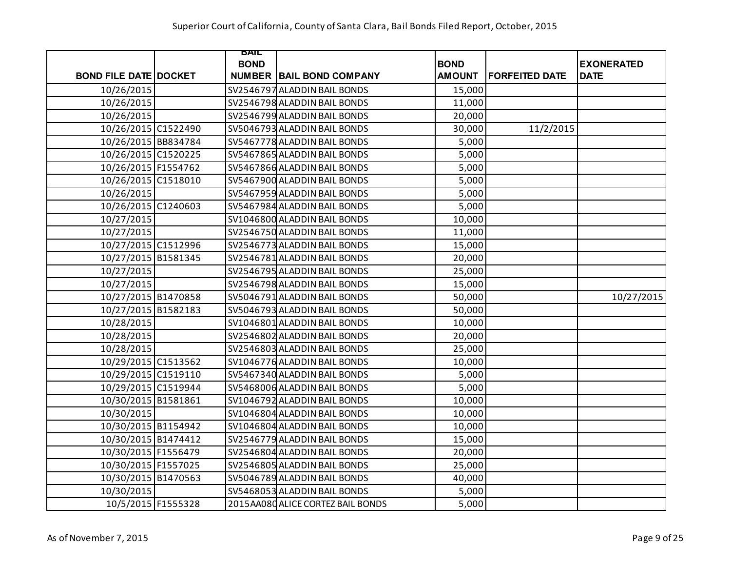|                              | BAIL        |                                   |               |                       |                   |
|------------------------------|-------------|-----------------------------------|---------------|-----------------------|-------------------|
|                              | <b>BOND</b> |                                   | <b>BOND</b>   |                       | <b>EXONERATED</b> |
| <b>BOND FILE DATE DOCKET</b> |             | <b>NUMBER BAIL BOND COMPANY</b>   | <b>AMOUNT</b> | <b>FORFEITED DATE</b> | <b>DATE</b>       |
| 10/26/2015                   |             | SV2546797 ALADDIN BAIL BONDS      | 15,000        |                       |                   |
| 10/26/2015                   |             | SV2546798 ALADDIN BAIL BONDS      | 11,000        |                       |                   |
| 10/26/2015                   |             | SV2546799 ALADDIN BAIL BONDS      | 20,000        |                       |                   |
| 10/26/2015 C1522490          |             | SV5046793 ALADDIN BAIL BONDS      | 30,000        | 11/2/2015             |                   |
| 10/26/2015 BB834784          |             | SV5467778 ALADDIN BAIL BONDS      | 5,000         |                       |                   |
| 10/26/2015 C1520225          |             | SV5467865 ALADDIN BAIL BONDS      | 5,000         |                       |                   |
| 10/26/2015 F1554762          |             | SV5467866 ALADDIN BAIL BONDS      | 5,000         |                       |                   |
| 10/26/2015 C1518010          |             | SV5467900 ALADDIN BAIL BONDS      | 5,000         |                       |                   |
| 10/26/2015                   |             | SV5467959 ALADDIN BAIL BONDS      | 5,000         |                       |                   |
| 10/26/2015 C1240603          |             | SV5467984 ALADDIN BAIL BONDS      | 5,000         |                       |                   |
| 10/27/2015                   |             | SV1046800 ALADDIN BAIL BONDS      | 10,000        |                       |                   |
| 10/27/2015                   |             | SV2546750 ALADDIN BAIL BONDS      | 11,000        |                       |                   |
| 10/27/2015 C1512996          |             | SV2546773 ALADDIN BAIL BONDS      | 15,000        |                       |                   |
| 10/27/2015 B1581345          |             | SV2546781 ALADDIN BAIL BONDS      | 20,000        |                       |                   |
| 10/27/2015                   |             | SV2546795 ALADDIN BAIL BONDS      | 25,000        |                       |                   |
| 10/27/2015                   |             | SV2546798 ALADDIN BAIL BONDS      | 15,000        |                       |                   |
| 10/27/2015 B1470858          |             | SV5046791 ALADDIN BAIL BONDS      | 50,000        |                       | 10/27/2015        |
| 10/27/2015 B1582183          |             | SV5046793 ALADDIN BAIL BONDS      | 50,000        |                       |                   |
| 10/28/2015                   |             | SV1046801 ALADDIN BAIL BONDS      | 10,000        |                       |                   |
| 10/28/2015                   |             | SV2546802 ALADDIN BAIL BONDS      | 20,000        |                       |                   |
| 10/28/2015                   |             | SV2546803 ALADDIN BAIL BONDS      | 25,000        |                       |                   |
| 10/29/2015 C1513562          |             | SV1046776 ALADDIN BAIL BONDS      | 10,000        |                       |                   |
| 10/29/2015 C1519110          |             | SV5467340 ALADDIN BAIL BONDS      | 5,000         |                       |                   |
| 10/29/2015 C1519944          |             | SV5468006 ALADDIN BAIL BONDS      | 5,000         |                       |                   |
| 10/30/2015 B1581861          |             | SV1046792 ALADDIN BAIL BONDS      | 10,000        |                       |                   |
| 10/30/2015                   |             | SV1046804 ALADDIN BAIL BONDS      | 10,000        |                       |                   |
| 10/30/2015 B1154942          |             | SV1046804 ALADDIN BAIL BONDS      | 10,000        |                       |                   |
| 10/30/2015 B1474412          |             | SV2546779 ALADDIN BAIL BONDS      | 15,000        |                       |                   |
| 10/30/2015 F1556479          |             | SV2546804 ALADDIN BAIL BONDS      | 20,000        |                       |                   |
| 10/30/2015 F1557025          |             | SV2546805 ALADDIN BAIL BONDS      | 25,000        |                       |                   |
| 10/30/2015 B1470563          |             | SV5046789 ALADDIN BAIL BONDS      | 40,000        |                       |                   |
| 10/30/2015                   |             | SV5468053 ALADDIN BAIL BONDS      | 5,000         |                       |                   |
| 10/5/2015 F1555328           |             | 2015AA080 ALICE CORTEZ BAIL BONDS | 5,000         |                       |                   |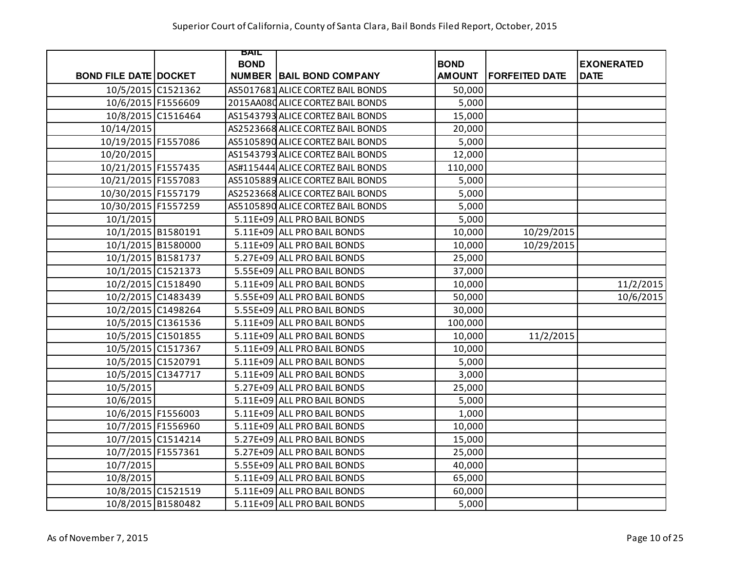|                              | BAIL        |                                   |               |                       |                   |
|------------------------------|-------------|-----------------------------------|---------------|-----------------------|-------------------|
|                              | <b>BOND</b> |                                   | <b>BOND</b>   |                       | <b>EXONERATED</b> |
| <b>BOND FILE DATE DOCKET</b> |             | <b>NUMBER BAIL BOND COMPANY</b>   | <b>AMOUNT</b> | <b>FORFEITED DATE</b> | <b>DATE</b>       |
| 10/5/2015 C1521362           |             | AS5017681 ALICE CORTEZ BAIL BONDS | 50,000        |                       |                   |
| 10/6/2015 F1556609           |             | 2015AA080 ALICE CORTEZ BAIL BONDS | 5,000         |                       |                   |
| 10/8/2015 C1516464           |             | AS1543793 ALICE CORTEZ BAIL BONDS | 15,000        |                       |                   |
| 10/14/2015                   |             | AS2523668 ALICE CORTEZ BAIL BONDS | 20,000        |                       |                   |
| 10/19/2015 F1557086          |             | AS5105890 ALICE CORTEZ BAIL BONDS | 5,000         |                       |                   |
| 10/20/2015                   |             | AS1543793 ALICE CORTEZ BAIL BONDS | 12,000        |                       |                   |
| 10/21/2015 F1557435          |             | AS#115444 ALICE CORTEZ BAIL BONDS | 110,000       |                       |                   |
| 10/21/2015 F1557083          |             | AS5105889 ALICE CORTEZ BAIL BONDS | 5,000         |                       |                   |
| 10/30/2015 F1557179          |             | AS2523668 ALICE CORTEZ BAIL BONDS | 5,000         |                       |                   |
| 10/30/2015 F1557259          |             | AS5105890 ALICE CORTEZ BAIL BONDS | 5,000         |                       |                   |
| 10/1/2015                    |             | 5.11E+09 ALL PRO BAIL BONDS       | 5,000         |                       |                   |
| 10/1/2015 B1580191           |             | 5.11E+09 ALL PRO BAIL BONDS       | 10,000        | 10/29/2015            |                   |
| 10/1/2015 B1580000           |             | 5.11E+09 ALL PRO BAIL BONDS       | 10,000        | 10/29/2015            |                   |
| 10/1/2015 B1581737           |             | 5.27E+09 ALL PRO BAIL BONDS       | 25,000        |                       |                   |
| 10/1/2015 C1521373           |             | 5.55E+09 ALL PRO BAIL BONDS       | 37,000        |                       |                   |
| 10/2/2015 C1518490           |             | 5.11E+09 ALL PRO BAIL BONDS       | 10,000        |                       | 11/2/2015         |
| 10/2/2015 C1483439           |             | 5.55E+09 ALL PRO BAIL BONDS       | 50,000        |                       | 10/6/2015         |
| 10/2/2015 C1498264           |             | 5.55E+09 ALL PRO BAIL BONDS       | 30,000        |                       |                   |
| 10/5/2015 C1361536           |             | 5.11E+09 ALL PRO BAIL BONDS       | 100,000       |                       |                   |
| 10/5/2015 C1501855           |             | 5.11E+09 ALL PRO BAIL BONDS       | 10,000        | 11/2/2015             |                   |
| 10/5/2015 C1517367           |             | 5.11E+09 ALL PRO BAIL BONDS       | 10,000        |                       |                   |
| 10/5/2015 C1520791           |             | 5.11E+09 ALL PRO BAIL BONDS       | 5,000         |                       |                   |
| 10/5/2015 C1347717           |             | 5.11E+09 ALL PRO BAIL BONDS       | 3,000         |                       |                   |
| 10/5/2015                    |             | 5.27E+09 ALL PRO BAIL BONDS       | 25,000        |                       |                   |
| 10/6/2015                    |             | 5.11E+09 ALL PRO BAIL BONDS       | 5,000         |                       |                   |
| 10/6/2015 F1556003           |             | 5.11E+09 ALL PRO BAIL BONDS       | 1,000         |                       |                   |
| 10/7/2015 F1556960           |             | 5.11E+09 ALL PRO BAIL BONDS       | 10,000        |                       |                   |
| 10/7/2015 C1514214           |             | 5.27E+09 ALL PRO BAIL BONDS       | 15,000        |                       |                   |
| 10/7/2015 F1557361           |             | 5.27E+09 ALL PRO BAIL BONDS       | 25,000        |                       |                   |
| 10/7/2015                    |             | 5.55E+09 ALL PRO BAIL BONDS       | 40,000        |                       |                   |
| 10/8/2015                    |             | 5.11E+09 ALL PRO BAIL BONDS       | 65,000        |                       |                   |
| 10/8/2015 C1521519           |             | 5.11E+09 ALL PRO BAIL BONDS       | 60,000        |                       |                   |
| 10/8/2015 B1580482           |             | 5.11E+09 ALL PRO BAIL BONDS       | 5,000         |                       |                   |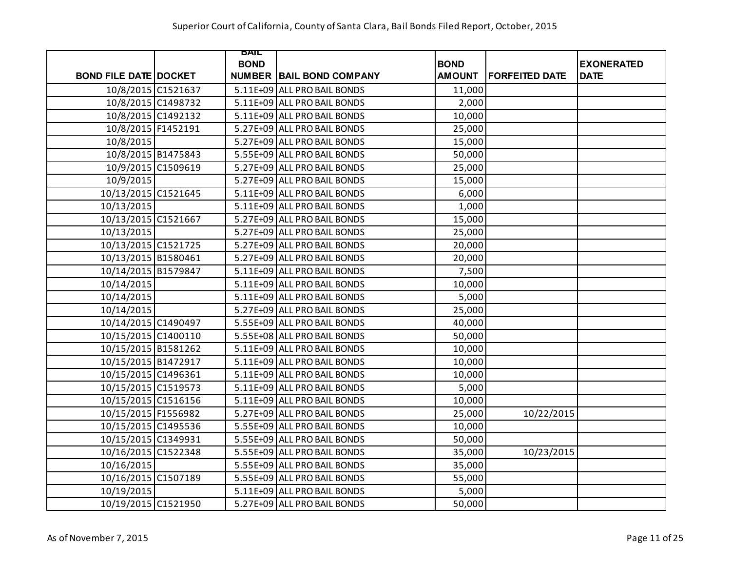|                              | BAIL        |                                 |               |                       |                   |
|------------------------------|-------------|---------------------------------|---------------|-----------------------|-------------------|
|                              | <b>BOND</b> |                                 | <b>BOND</b>   |                       | <b>EXONERATED</b> |
| <b>BOND FILE DATE DOCKET</b> |             | <b>NUMBER BAIL BOND COMPANY</b> | <b>AMOUNT</b> | <b>FORFEITED DATE</b> | <b>DATE</b>       |
| 10/8/2015 C1521637           |             | 5.11E+09 ALL PRO BAIL BONDS     | 11,000        |                       |                   |
| 10/8/2015 C1498732           |             | 5.11E+09 ALL PRO BAIL BONDS     | 2,000         |                       |                   |
| 10/8/2015 C1492132           |             | 5.11E+09 ALL PRO BAIL BONDS     | 10,000        |                       |                   |
| 10/8/2015 F1452191           |             | 5.27E+09 ALL PRO BAIL BONDS     | 25,000        |                       |                   |
| 10/8/2015                    |             | 5.27E+09 ALL PRO BAIL BONDS     | 15,000        |                       |                   |
| 10/8/2015 B1475843           |             | 5.55E+09 ALL PRO BAIL BONDS     | 50,000        |                       |                   |
| 10/9/2015 C1509619           |             | 5.27E+09 ALL PRO BAIL BONDS     | 25,000        |                       |                   |
| 10/9/2015                    |             | 5.27E+09 ALL PRO BAIL BONDS     | 15,000        |                       |                   |
| 10/13/2015 C1521645          |             | 5.11E+09 ALL PRO BAIL BONDS     | 6,000         |                       |                   |
| 10/13/2015                   |             | 5.11E+09 ALL PRO BAIL BONDS     | 1,000         |                       |                   |
| 10/13/2015 C1521667          |             | 5.27E+09 ALL PRO BAIL BONDS     | 15,000        |                       |                   |
| 10/13/2015                   |             | 5.27E+09 ALL PRO BAIL BONDS     | 25,000        |                       |                   |
| 10/13/2015 C1521725          |             | 5.27E+09 ALL PRO BAIL BONDS     | 20,000        |                       |                   |
| 10/13/2015 B1580461          |             | 5.27E+09 ALL PRO BAIL BONDS     | 20,000        |                       |                   |
| 10/14/2015 B1579847          |             | 5.11E+09 ALL PRO BAIL BONDS     | 7,500         |                       |                   |
| 10/14/2015                   |             | 5.11E+09 ALL PRO BAIL BONDS     | 10,000        |                       |                   |
| 10/14/2015                   |             | 5.11E+09 ALL PRO BAIL BONDS     | 5,000         |                       |                   |
| 10/14/2015                   |             | 5.27E+09 ALL PRO BAIL BONDS     | 25,000        |                       |                   |
| 10/14/2015 C1490497          |             | 5.55E+09 ALL PRO BAIL BONDS     | 40,000        |                       |                   |
| 10/15/2015 C1400110          |             | 5.55E+08 ALL PRO BAIL BONDS     | 50,000        |                       |                   |
| 10/15/2015 B1581262          |             | 5.11E+09 ALL PRO BAIL BONDS     | 10,000        |                       |                   |
| 10/15/2015 B1472917          |             | 5.11E+09 ALL PRO BAIL BONDS     | 10,000        |                       |                   |
| 10/15/2015 C1496361          |             | 5.11E+09 ALL PRO BAIL BONDS     | 10,000        |                       |                   |
| 10/15/2015 C1519573          |             | 5.11E+09 ALL PRO BAIL BONDS     | 5,000         |                       |                   |
| 10/15/2015 C1516156          |             | 5.11E+09 ALL PRO BAIL BONDS     | 10,000        |                       |                   |
| 10/15/2015 F1556982          |             | 5.27E+09 ALL PRO BAIL BONDS     | 25,000        | 10/22/2015            |                   |
| 10/15/2015 C1495536          |             | 5.55E+09 ALL PRO BAIL BONDS     | 10,000        |                       |                   |
| 10/15/2015 C1349931          |             | 5.55E+09 ALL PRO BAIL BONDS     | 50,000        |                       |                   |
| 10/16/2015 C1522348          |             | 5.55E+09 ALL PRO BAIL BONDS     | 35,000        | 10/23/2015            |                   |
| 10/16/2015                   |             | 5.55E+09 ALL PRO BAIL BONDS     | 35,000        |                       |                   |
| 10/16/2015 C1507189          |             | 5.55E+09 ALL PRO BAIL BONDS     | 55,000        |                       |                   |
| 10/19/2015                   |             | 5.11E+09 ALL PRO BAIL BONDS     | 5,000         |                       |                   |
| 10/19/2015 C1521950          |             | 5.27E+09 ALL PRO BAIL BONDS     | 50,000        |                       |                   |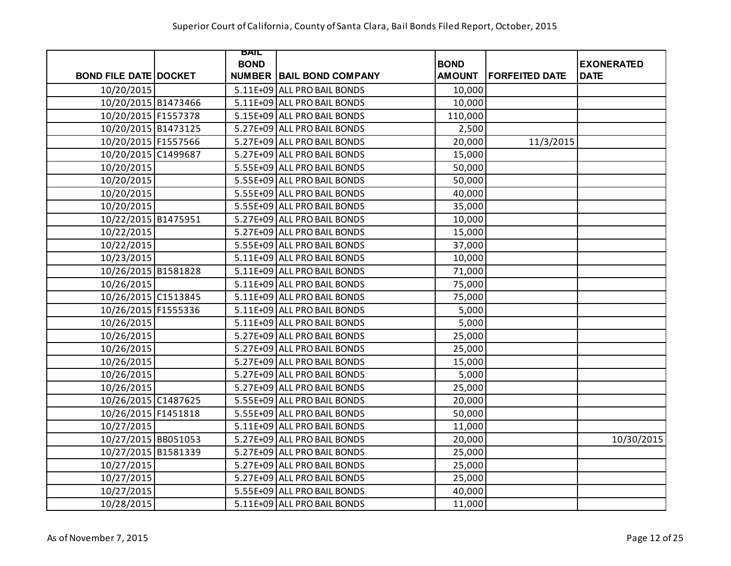|                              | BAIL        |                                 |               |                       |                   |
|------------------------------|-------------|---------------------------------|---------------|-----------------------|-------------------|
|                              | <b>BOND</b> |                                 | <b>BOND</b>   |                       | <b>EXONERATED</b> |
| <b>BOND FILE DATE DOCKET</b> |             | <b>NUMBER BAIL BOND COMPANY</b> | <b>AMOUNT</b> | <b>FORFEITED DATE</b> | <b>DATE</b>       |
| 10/20/2015                   |             | 5.11E+09 ALL PRO BAIL BONDS     | 10,000        |                       |                   |
| 10/20/2015 B1473466          |             | 5.11E+09 ALL PRO BAIL BONDS     | 10,000        |                       |                   |
| 10/20/2015 F1557378          |             | 5.15E+09 ALL PRO BAIL BONDS     | 110,000       |                       |                   |
| 10/20/2015 B1473125          |             | 5.27E+09 ALL PRO BAIL BONDS     | 2,500         |                       |                   |
| 10/20/2015 F1557566          |             | 5.27E+09 ALL PRO BAIL BONDS     | 20,000        | 11/3/2015             |                   |
| 10/20/2015 C1499687          |             | 5.27E+09 ALL PRO BAIL BONDS     | 15,000        |                       |                   |
| 10/20/2015                   |             | 5.55E+09 ALL PRO BAIL BONDS     | 50,000        |                       |                   |
| 10/20/2015                   |             | 5.55E+09 ALL PRO BAIL BONDS     | 50,000        |                       |                   |
| 10/20/2015                   |             | 5.55E+09 ALL PRO BAIL BONDS     | 40,000        |                       |                   |
| 10/20/2015                   |             | 5.55E+09 ALL PRO BAIL BONDS     | 35,000        |                       |                   |
| 10/22/2015 B1475951          |             | 5.27E+09 ALL PRO BAIL BONDS     | 10,000        |                       |                   |
| 10/22/2015                   |             | 5.27E+09 ALL PRO BAIL BONDS     | 15,000        |                       |                   |
| 10/22/2015                   |             | 5.55E+09 ALL PRO BAIL BONDS     | 37,000        |                       |                   |
| 10/23/2015                   |             | 5.11E+09 ALL PRO BAIL BONDS     | 10,000        |                       |                   |
| 10/26/2015 B1581828          |             | 5.11E+09 ALL PRO BAIL BONDS     | 71,000        |                       |                   |
| 10/26/2015                   |             | 5.11E+09 ALL PRO BAIL BONDS     | 75,000        |                       |                   |
| 10/26/2015 C1513845          |             | 5.11E+09 ALL PRO BAIL BONDS     | 75,000        |                       |                   |
| 10/26/2015 F1555336          |             | 5.11E+09 ALL PRO BAIL BONDS     | 5,000         |                       |                   |
| 10/26/2015                   |             | 5.11E+09 ALL PRO BAIL BONDS     | 5,000         |                       |                   |
| 10/26/2015                   |             | 5.27E+09 ALL PRO BAIL BONDS     | 25,000        |                       |                   |
| 10/26/2015                   |             | 5.27E+09 ALL PRO BAIL BONDS     | 25,000        |                       |                   |
| 10/26/2015                   |             | 5.27E+09 ALL PRO BAIL BONDS     | 15,000        |                       |                   |
| 10/26/2015                   |             | 5.27E+09 ALL PRO BAIL BONDS     | 5,000         |                       |                   |
| 10/26/2015                   |             | 5.27E+09 ALL PRO BAIL BONDS     | 25,000        |                       |                   |
| 10/26/2015 C1487625          |             | 5.55E+09 ALL PRO BAIL BONDS     | 20,000        |                       |                   |
| 10/26/2015 F1451818          |             | 5.55E+09 ALL PRO BAIL BONDS     | 50,000        |                       |                   |
| 10/27/2015                   |             | 5.11E+09 ALL PRO BAIL BONDS     | 11,000        |                       |                   |
| 10/27/2015 BB051053          |             | 5.27E+09 ALL PRO BAIL BONDS     | 20,000        |                       | 10/30/2015        |
| 10/27/2015 B1581339          |             | 5.27E+09 ALL PRO BAIL BONDS     | 25,000        |                       |                   |
| 10/27/2015                   |             | 5.27E+09 ALL PRO BAIL BONDS     | 25,000        |                       |                   |
| 10/27/2015                   |             | 5.27E+09 ALL PRO BAIL BONDS     | 25,000        |                       |                   |
| 10/27/2015                   |             | 5.55E+09 ALL PRO BAIL BONDS     | 40,000        |                       |                   |
| 10/28/2015                   |             | 5.11E+09 ALL PRO BAIL BONDS     | 11,000        |                       |                   |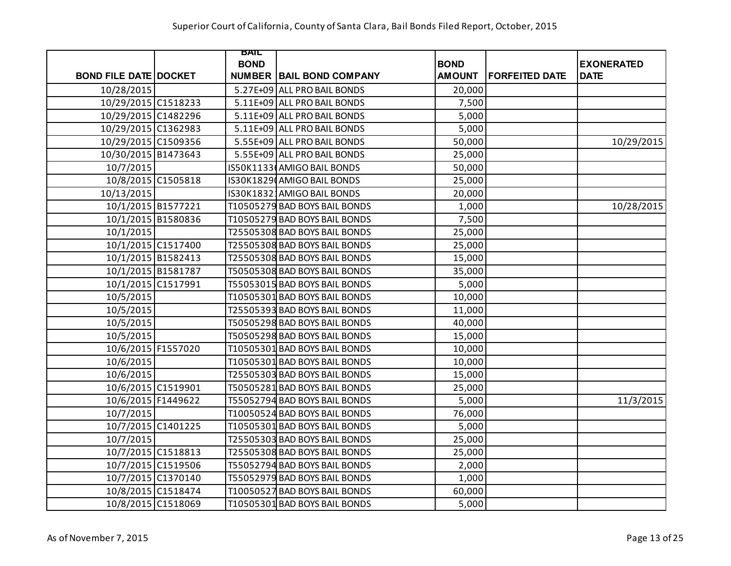|                              | BAIL        |                                 |               |                       |                   |
|------------------------------|-------------|---------------------------------|---------------|-----------------------|-------------------|
|                              | <b>BOND</b> |                                 | <b>BOND</b>   |                       | <b>EXONERATED</b> |
| <b>BOND FILE DATE DOCKET</b> |             | <b>NUMBER BAIL BOND COMPANY</b> | <b>AMOUNT</b> | <b>FORFEITED DATE</b> | <b>DATE</b>       |
| 10/28/2015                   |             | 5.27E+09 ALL PRO BAIL BONDS     | 20,000        |                       |                   |
| 10/29/2015 C1518233          |             | 5.11E+09 ALL PRO BAIL BONDS     | 7,500         |                       |                   |
| 10/29/2015 C1482296          |             | 5.11E+09 ALL PRO BAIL BONDS     | 5,000         |                       |                   |
| 10/29/2015 C1362983          |             | 5.11E+09 ALL PRO BAIL BONDS     | 5,000         |                       |                   |
| 10/29/2015 C1509356          |             | 5.55E+09 ALL PRO BAIL BONDS     | 50,000        |                       | 10/29/2015        |
| 10/30/2015 B1473643          |             | 5.55E+09 ALL PRO BAIL BONDS     | 25,000        |                       |                   |
| 10/7/2015                    |             | IS50K1133(AMIGO BAIL BONDS      | 50,000        |                       |                   |
| 10/8/2015 C1505818           |             | IS30K1829 AMIGO BAIL BONDS      | 25,000        |                       |                   |
| 10/13/2015                   |             | IS30K18321AMIGO BAIL BONDS      | 20,000        |                       |                   |
| 10/1/2015 B1577221           |             | T10505279 BAD BOYS BAIL BONDS   | 1,000         |                       | 10/28/2015        |
| 10/1/2015 B1580836           |             | T10505279 BAD BOYS BAIL BONDS   | 7,500         |                       |                   |
| 10/1/2015                    |             | T25505308 BAD BOYS BAIL BONDS   | 25,000        |                       |                   |
| 10/1/2015 C1517400           |             | T25505308 BAD BOYS BAIL BONDS   | 25,000        |                       |                   |
| 10/1/2015 B1582413           |             | T25505308 BAD BOYS BAIL BONDS   | 15,000        |                       |                   |
| 10/1/2015 B1581787           |             | T50505308 BAD BOYS BAIL BONDS   | 35,000        |                       |                   |
| 10/1/2015 C1517991           |             | T55053015 BAD BOYS BAIL BONDS   | 5,000         |                       |                   |
| 10/5/2015                    |             | T10505301 BAD BOYS BAIL BONDS   | 10,000        |                       |                   |
| 10/5/2015                    |             | T25505393 BAD BOYS BAIL BONDS   | 11,000        |                       |                   |
| 10/5/2015                    |             | T50505298 BAD BOYS BAIL BONDS   | 40,000        |                       |                   |
| 10/5/2015                    |             | T50505298 BAD BOYS BAIL BONDS   | 15,000        |                       |                   |
| 10/6/2015 F1557020           |             | T10505301 BAD BOYS BAIL BONDS   | 10,000        |                       |                   |
| 10/6/2015                    |             | T10505301 BAD BOYS BAIL BONDS   | 10,000        |                       |                   |
| 10/6/2015                    |             | T25505303 BAD BOYS BAIL BONDS   | 15,000        |                       |                   |
| 10/6/2015 C1519901           |             | T50505281 BAD BOYS BAIL BONDS   | 25,000        |                       |                   |
| 10/6/2015 F1449622           |             | T55052794 BAD BOYS BAIL BONDS   | 5,000         |                       | 11/3/2015         |
| 10/7/2015                    |             | T10050524 BAD BOYS BAIL BONDS   | 76,000        |                       |                   |
| 10/7/2015 C1401225           |             | T10505301 BAD BOYS BAIL BONDS   | 5,000         |                       |                   |
| 10/7/2015                    |             | T25505303 BAD BOYS BAIL BONDS   | 25,000        |                       |                   |
| 10/7/2015 C1518813           |             | T25505308 BAD BOYS BAIL BONDS   | 25,000        |                       |                   |
| 10/7/2015 C1519506           |             | T55052794 BAD BOYS BAIL BONDS   | 2,000         |                       |                   |
| 10/7/2015 C1370140           |             | T55052979 BAD BOYS BAIL BONDS   | 1,000         |                       |                   |
| 10/8/2015 C1518474           |             | T10050527 BAD BOYS BAIL BONDS   | 60,000        |                       |                   |
| 10/8/2015 C1518069           |             | T10505301 BAD BOYS BAIL BONDS   | 5,000         |                       |                   |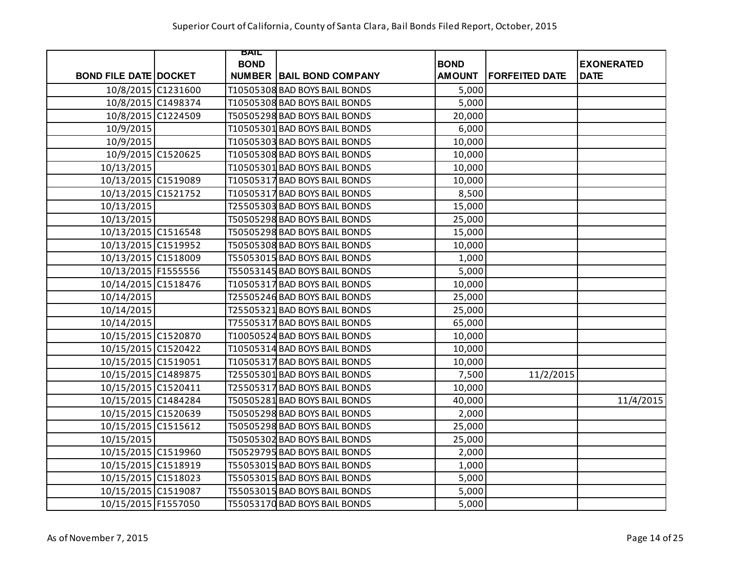|                              | BAIL        |                                 |               |                       |                   |
|------------------------------|-------------|---------------------------------|---------------|-----------------------|-------------------|
|                              | <b>BOND</b> |                                 | <b>BOND</b>   |                       | <b>EXONERATED</b> |
| <b>BOND FILE DATE DOCKET</b> |             | <b>NUMBER BAIL BOND COMPANY</b> | <b>AMOUNT</b> | <b>FORFEITED DATE</b> | <b>DATE</b>       |
| 10/8/2015 C1231600           |             | T10505308 BAD BOYS BAIL BONDS   | 5,000         |                       |                   |
| 10/8/2015 C1498374           |             | T10505308 BAD BOYS BAIL BONDS   | 5,000         |                       |                   |
| 10/8/2015 C1224509           |             | T50505298 BAD BOYS BAIL BONDS   | 20,000        |                       |                   |
| 10/9/2015                    |             | T10505301 BAD BOYS BAIL BONDS   | 6,000         |                       |                   |
| 10/9/2015                    |             | T10505303 BAD BOYS BAIL BONDS   | 10,000        |                       |                   |
| 10/9/2015 C1520625           |             | T10505308 BAD BOYS BAIL BONDS   | 10,000        |                       |                   |
| 10/13/2015                   |             | T10505301 BAD BOYS BAIL BONDS   | 10,000        |                       |                   |
| 10/13/2015 C1519089          |             | T10505317 BAD BOYS BAIL BONDS   | 10,000        |                       |                   |
| 10/13/2015 C1521752          |             | T10505317 BAD BOYS BAIL BONDS   | 8,500         |                       |                   |
| 10/13/2015                   |             | T25505303 BAD BOYS BAIL BONDS   | 15,000        |                       |                   |
| 10/13/2015                   |             | T50505298 BAD BOYS BAIL BONDS   | 25,000        |                       |                   |
| 10/13/2015 C1516548          |             | T50505298 BAD BOYS BAIL BONDS   | 15,000        |                       |                   |
| 10/13/2015 C1519952          |             | T50505308 BAD BOYS BAIL BONDS   | 10,000        |                       |                   |
| 10/13/2015 C1518009          |             | T55053015 BAD BOYS BAIL BONDS   | 1,000         |                       |                   |
| 10/13/2015 F1555556          |             | T55053145 BAD BOYS BAIL BONDS   | 5,000         |                       |                   |
| 10/14/2015 C1518476          |             | T10505317 BAD BOYS BAIL BONDS   | 10,000        |                       |                   |
| 10/14/2015                   |             | T25505246 BAD BOYS BAIL BONDS   | 25,000        |                       |                   |
| 10/14/2015                   |             | T25505321 BAD BOYS BAIL BONDS   | 25,000        |                       |                   |
| 10/14/2015                   |             | T75505317 BAD BOYS BAIL BONDS   | 65,000        |                       |                   |
| 10/15/2015 C1520870          |             | T10050524 BAD BOYS BAIL BONDS   | 10,000        |                       |                   |
| 10/15/2015 C1520422          |             | T10505314 BAD BOYS BAIL BONDS   | 10,000        |                       |                   |
| 10/15/2015 C1519051          |             | T10505317 BAD BOYS BAIL BONDS   | 10,000        |                       |                   |
| 10/15/2015 C1489875          |             | T25505301 BAD BOYS BAIL BONDS   | 7,500         | 11/2/2015             |                   |
| 10/15/2015 C1520411          |             | T25505317 BAD BOYS BAIL BONDS   | 10,000        |                       |                   |
| 10/15/2015 C1484284          |             | T50505281 BAD BOYS BAIL BONDS   | 40,000        |                       | 11/4/2015         |
| 10/15/2015 C1520639          |             | T50505298 BAD BOYS BAIL BONDS   | 2,000         |                       |                   |
| 10/15/2015 C1515612          |             | T50505298 BAD BOYS BAIL BONDS   | 25,000        |                       |                   |
| 10/15/2015                   |             | T50505302 BAD BOYS BAIL BONDS   | 25,000        |                       |                   |
| 10/15/2015 C1519960          |             | T50529795 BAD BOYS BAIL BONDS   | 2,000         |                       |                   |
| 10/15/2015 C1518919          |             | T55053015 BAD BOYS BAIL BONDS   | 1,000         |                       |                   |
| 10/15/2015 C1518023          |             | T55053015 BAD BOYS BAIL BONDS   | 5,000         |                       |                   |
| 10/15/2015 C1519087          |             | T55053015 BAD BOYS BAIL BONDS   | 5,000         |                       |                   |
| 10/15/2015 F1557050          |             | T55053170 BAD BOYS BAIL BONDS   | 5,000         |                       |                   |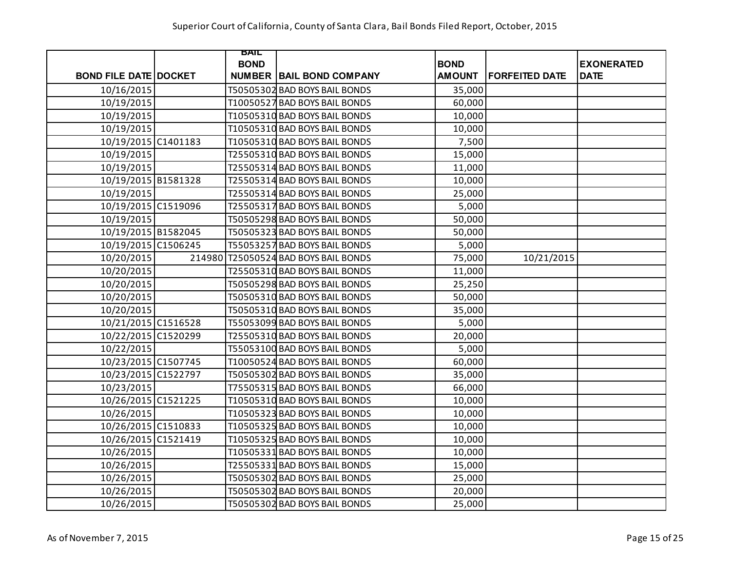|                              |        | BAIL        |                                 |               |                       |                   |
|------------------------------|--------|-------------|---------------------------------|---------------|-----------------------|-------------------|
|                              |        | <b>BOND</b> |                                 | <b>BOND</b>   |                       | <b>EXONERATED</b> |
| <b>BOND FILE DATE DOCKET</b> |        |             | <b>NUMBER BAIL BOND COMPANY</b> | <b>AMOUNT</b> | <b>FORFEITED DATE</b> | <b>DATE</b>       |
| 10/16/2015                   |        |             | T50505302 BAD BOYS BAIL BONDS   | 35,000        |                       |                   |
| 10/19/2015                   |        |             | T10050527 BAD BOYS BAIL BONDS   | 60,000        |                       |                   |
| 10/19/2015                   |        |             | T10505310 BAD BOYS BAIL BONDS   | 10,000        |                       |                   |
| 10/19/2015                   |        |             | T10505310 BAD BOYS BAIL BONDS   | 10,000        |                       |                   |
| 10/19/2015 C1401183          |        |             | T10505310 BAD BOYS BAIL BONDS   | 7,500         |                       |                   |
| 10/19/2015                   |        |             | T25505310 BAD BOYS BAIL BONDS   | 15,000        |                       |                   |
| 10/19/2015                   |        |             | T25505314 BAD BOYS BAIL BONDS   | 11,000        |                       |                   |
| 10/19/2015 B1581328          |        |             | T25505314 BAD BOYS BAIL BONDS   | 10,000        |                       |                   |
| 10/19/2015                   |        |             | T25505314 BAD BOYS BAIL BONDS   | 25,000        |                       |                   |
| 10/19/2015 C1519096          |        |             | T25505317 BAD BOYS BAIL BONDS   | 5,000         |                       |                   |
| 10/19/2015                   |        |             | T50505298 BAD BOYS BAIL BONDS   | 50,000        |                       |                   |
| 10/19/2015 B1582045          |        |             | T50505323 BAD BOYS BAIL BONDS   | 50,000        |                       |                   |
| 10/19/2015 C1506245          |        |             | T55053257 BAD BOYS BAIL BONDS   | 5,000         |                       |                   |
| 10/20/2015                   | 214980 |             | T25050524 BAD BOYS BAIL BONDS   | 75,000        | 10/21/2015            |                   |
| 10/20/2015                   |        |             | T25505310 BAD BOYS BAIL BONDS   | 11,000        |                       |                   |
| 10/20/2015                   |        |             | T50505298 BAD BOYS BAIL BONDS   | 25,250        |                       |                   |
| 10/20/2015                   |        |             | T50505310 BAD BOYS BAIL BONDS   | 50,000        |                       |                   |
| 10/20/2015                   |        |             | T50505310 BAD BOYS BAIL BONDS   | 35,000        |                       |                   |
| 10/21/2015 C1516528          |        |             | T55053099 BAD BOYS BAIL BONDS   | 5,000         |                       |                   |
| 10/22/2015 C1520299          |        |             | T25505310 BAD BOYS BAIL BONDS   | 20,000        |                       |                   |
| 10/22/2015                   |        |             | T55053100 BAD BOYS BAIL BONDS   | 5,000         |                       |                   |
| 10/23/2015 C1507745          |        |             | T10050524 BAD BOYS BAIL BONDS   | 60,000        |                       |                   |
| 10/23/2015 C1522797          |        |             | T50505302 BAD BOYS BAIL BONDS   | 35,000        |                       |                   |
| 10/23/2015                   |        |             | T75505315 BAD BOYS BAIL BONDS   | 66,000        |                       |                   |
| 10/26/2015 C1521225          |        |             | T10505310 BAD BOYS BAIL BONDS   | 10,000        |                       |                   |
| 10/26/2015                   |        |             | T10505323 BAD BOYS BAIL BONDS   | 10,000        |                       |                   |
| 10/26/2015 C1510833          |        |             | T10505325 BAD BOYS BAIL BONDS   | 10,000        |                       |                   |
| 10/26/2015 C1521419          |        |             | T10505325 BAD BOYS BAIL BONDS   | 10,000        |                       |                   |
| 10/26/2015                   |        |             | T10505331 BAD BOYS BAIL BONDS   | 10,000        |                       |                   |
| 10/26/2015                   |        |             | T25505331 BAD BOYS BAIL BONDS   | 15,000        |                       |                   |
| 10/26/2015                   |        |             | T50505302 BAD BOYS BAIL BONDS   | 25,000        |                       |                   |
| 10/26/2015                   |        |             | T50505302 BAD BOYS BAIL BONDS   | 20,000        |                       |                   |
| 10/26/2015                   |        |             | T50505302 BAD BOYS BAIL BONDS   | 25,000        |                       |                   |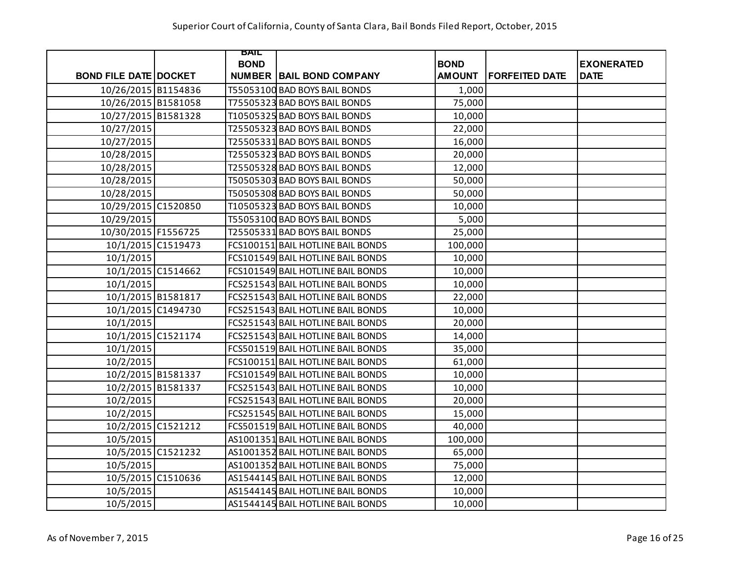|                              |                    | <b>BAIL</b> |                                   |               |                       |                   |
|------------------------------|--------------------|-------------|-----------------------------------|---------------|-----------------------|-------------------|
|                              |                    | <b>BOND</b> |                                   | <b>BOND</b>   |                       | <b>EXONERATED</b> |
| <b>BOND FILE DATE DOCKET</b> |                    |             | <b>NUMBER BAIL BOND COMPANY</b>   | <b>AMOUNT</b> | <b>FORFEITED DATE</b> | <b>DATE</b>       |
| 10/26/2015 B1154836          |                    |             | T55053100 BAD BOYS BAIL BONDS     | 1,000         |                       |                   |
| 10/26/2015 B1581058          |                    |             | T75505323 BAD BOYS BAIL BONDS     | 75,000        |                       |                   |
| 10/27/2015 B1581328          |                    |             | T10505325 BAD BOYS BAIL BONDS     | 10,000        |                       |                   |
| 10/27/2015                   |                    |             | T25505323 BAD BOYS BAIL BONDS     | 22,000        |                       |                   |
| 10/27/2015                   |                    |             | T25505331 BAD BOYS BAIL BONDS     | 16,000        |                       |                   |
| 10/28/2015                   |                    |             | T25505323 BAD BOYS BAIL BONDS     | 20,000        |                       |                   |
| 10/28/2015                   |                    |             | T25505328 BAD BOYS BAIL BONDS     | 12,000        |                       |                   |
| 10/28/2015                   |                    |             | T50505303 BAD BOYS BAIL BONDS     | 50,000        |                       |                   |
| 10/28/2015                   |                    |             | T50505308 BAD BOYS BAIL BONDS     | 50,000        |                       |                   |
| 10/29/2015 C1520850          |                    |             | T10505323 BAD BOYS BAIL BONDS     | 10,000        |                       |                   |
| 10/29/2015                   |                    |             | T55053100 BAD BOYS BAIL BONDS     | 5,000         |                       |                   |
| 10/30/2015 F1556725          |                    |             | T25505331 BAD BOYS BAIL BONDS     | 25,000        |                       |                   |
|                              | 10/1/2015 C1519473 |             | FCS100151 BAIL HOTLINE BAIL BONDS | 100,000       |                       |                   |
| 10/1/2015                    |                    |             | FCS101549 BAIL HOTLINE BAIL BONDS | 10,000        |                       |                   |
| 10/1/2015 C1514662           |                    |             | FCS101549 BAIL HOTLINE BAIL BONDS | 10,000        |                       |                   |
| 10/1/2015                    |                    |             | FCS251543 BAIL HOTLINE BAIL BONDS | 10,000        |                       |                   |
|                              | 10/1/2015 B1581817 |             | FCS251543 BAIL HOTLINE BAIL BONDS | 22,000        |                       |                   |
|                              | 10/1/2015 C1494730 |             | FCS251543 BAIL HOTLINE BAIL BONDS | 10,000        |                       |                   |
| 10/1/2015                    |                    |             | FCS251543 BAIL HOTLINE BAIL BONDS | 20,000        |                       |                   |
|                              | 10/1/2015 C1521174 |             | FCS251543 BAIL HOTLINE BAIL BONDS | 14,000        |                       |                   |
| 10/1/2015                    |                    |             | FCS501519 BAIL HOTLINE BAIL BONDS | 35,000        |                       |                   |
| 10/2/2015                    |                    |             | FCS100151 BAIL HOTLINE BAIL BONDS | 61,000        |                       |                   |
|                              | 10/2/2015 B1581337 |             | FCS101549 BAIL HOTLINE BAIL BONDS | 10,000        |                       |                   |
|                              | 10/2/2015 B1581337 |             | FCS251543 BAIL HOTLINE BAIL BONDS | 10,000        |                       |                   |
| 10/2/2015                    |                    |             | FCS251543 BAIL HOTLINE BAIL BONDS | 20,000        |                       |                   |
| 10/2/2015                    |                    |             | FCS251545 BAIL HOTLINE BAIL BONDS | 15,000        |                       |                   |
|                              | 10/2/2015 C1521212 |             | FCS501519 BAIL HOTLINE BAIL BONDS | 40,000        |                       |                   |
| 10/5/2015                    |                    |             | AS1001351 BAIL HOTLINE BAIL BONDS | 100,000       |                       |                   |
|                              | 10/5/2015 C1521232 |             | AS1001352 BAIL HOTLINE BAIL BONDS | 65,000        |                       |                   |
| 10/5/2015                    |                    |             | AS1001352 BAIL HOTLINE BAIL BONDS | 75,000        |                       |                   |
|                              | 10/5/2015 C1510636 |             | AS1544145 BAIL HOTLINE BAIL BONDS | 12,000        |                       |                   |
| 10/5/2015                    |                    |             | AS1544145 BAIL HOTLINE BAIL BONDS | 10,000        |                       |                   |
| 10/5/2015                    |                    |             | AS1544145 BAIL HOTLINE BAIL BONDS | 10,000        |                       |                   |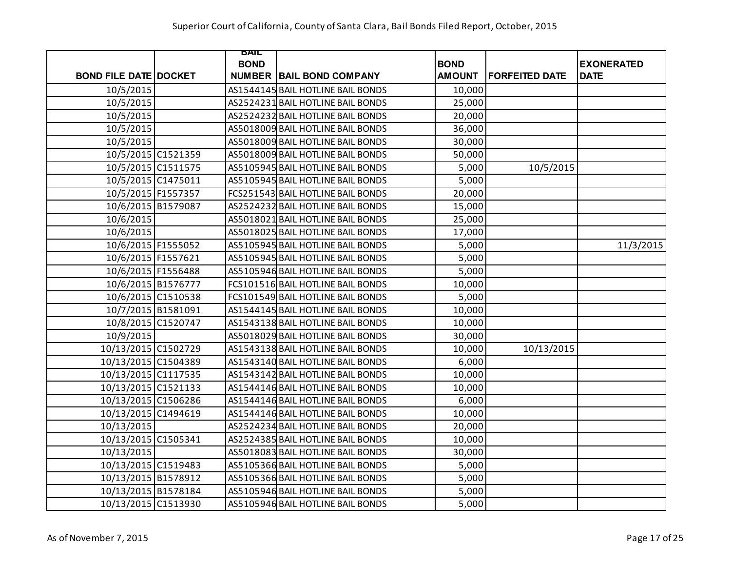|                              | BAIL          |                                   |               |                       |                   |
|------------------------------|---------------|-----------------------------------|---------------|-----------------------|-------------------|
|                              | <b>BOND</b>   |                                   | <b>BOND</b>   |                       | <b>EXONERATED</b> |
| <b>BOND FILE DATE DOCKET</b> | <b>NUMBER</b> | <b>BAIL BOND COMPANY</b>          | <b>AMOUNT</b> | <b>FORFEITED DATE</b> | <b>DATE</b>       |
| 10/5/2015                    |               | AS1544145 BAIL HOTLINE BAIL BONDS | 10,000        |                       |                   |
| 10/5/2015                    |               | AS2524231 BAIL HOTLINE BAIL BONDS | 25,000        |                       |                   |
| 10/5/2015                    |               | AS2524232 BAIL HOTLINE BAIL BONDS | 20,000        |                       |                   |
| 10/5/2015                    |               | AS5018009 BAIL HOTLINE BAIL BONDS | 36,000        |                       |                   |
| 10/5/2015                    |               | AS5018009 BAIL HOTLINE BAIL BONDS | 30,000        |                       |                   |
| 10/5/2015 C1521359           |               | AS5018009 BAIL HOTLINE BAIL BONDS | 50,000        |                       |                   |
| 10/5/2015 C1511575           |               | AS5105945 BAIL HOTLINE BAIL BONDS | 5,000         | 10/5/2015             |                   |
| 10/5/2015 C1475011           |               | AS5105945 BAIL HOTLINE BAIL BONDS | 5,000         |                       |                   |
| 10/5/2015 F1557357           |               | FCS251543 BAIL HOTLINE BAIL BONDS | 20,000        |                       |                   |
| 10/6/2015 B1579087           |               | AS2524232 BAIL HOTLINE BAIL BONDS | 15,000        |                       |                   |
| 10/6/2015                    |               | AS5018021 BAIL HOTLINE BAIL BONDS | 25,000        |                       |                   |
| 10/6/2015                    |               | AS5018025 BAIL HOTLINE BAIL BONDS | 17,000        |                       |                   |
| 10/6/2015 F1555052           |               | AS5105945 BAIL HOTLINE BAIL BONDS | 5,000         |                       | 11/3/2015         |
| 10/6/2015 F1557621           |               | AS5105945 BAIL HOTLINE BAIL BONDS | 5,000         |                       |                   |
| 10/6/2015 F1556488           |               | AS5105946 BAIL HOTLINE BAIL BONDS | 5,000         |                       |                   |
| 10/6/2015 B1576777           |               | FCS101516 BAIL HOTLINE BAIL BONDS | 10,000        |                       |                   |
| 10/6/2015 C1510538           |               | FCS101549 BAIL HOTLINE BAIL BONDS | 5,000         |                       |                   |
| 10/7/2015 B1581091           |               | AS1544145 BAIL HOTLINE BAIL BONDS | 10,000        |                       |                   |
| 10/8/2015 C1520747           |               | AS1543138 BAIL HOTLINE BAIL BONDS | 10,000        |                       |                   |
| 10/9/2015                    |               | AS5018029 BAIL HOTLINE BAIL BONDS | 30,000        |                       |                   |
| 10/13/2015 C1502729          |               | AS1543138 BAIL HOTLINE BAIL BONDS | 10,000        | 10/13/2015            |                   |
| 10/13/2015 C1504389          |               | AS1543140 BAIL HOTLINE BAIL BONDS | 6,000         |                       |                   |
| 10/13/2015 C1117535          |               | AS1543142 BAIL HOTLINE BAIL BONDS | 10,000        |                       |                   |
| 10/13/2015 C1521133          |               | AS1544146 BAIL HOTLINE BAIL BONDS | 10,000        |                       |                   |
| 10/13/2015 C1506286          |               | AS1544146 BAIL HOTLINE BAIL BONDS | 6,000         |                       |                   |
| 10/13/2015 C1494619          |               | AS1544146 BAIL HOTLINE BAIL BONDS | 10,000        |                       |                   |
| 10/13/2015                   |               | AS2524234 BAIL HOTLINE BAIL BONDS | 20,000        |                       |                   |
| 10/13/2015 C1505341          |               | AS2524385 BAIL HOTLINE BAIL BONDS | 10,000        |                       |                   |
| 10/13/2015                   |               | AS5018083 BAIL HOTLINE BAIL BONDS | 30,000        |                       |                   |
| 10/13/2015 C1519483          |               | AS5105366 BAIL HOTLINE BAIL BONDS | 5,000         |                       |                   |
| 10/13/2015 B1578912          |               | AS5105366 BAIL HOTLINE BAIL BONDS | 5,000         |                       |                   |
| 10/13/2015 B1578184          |               | AS5105946 BAIL HOTLINE BAIL BONDS | 5,000         |                       |                   |
| 10/13/2015 C1513930          |               | AS5105946 BAIL HOTLINE BAIL BONDS | 5,000         |                       |                   |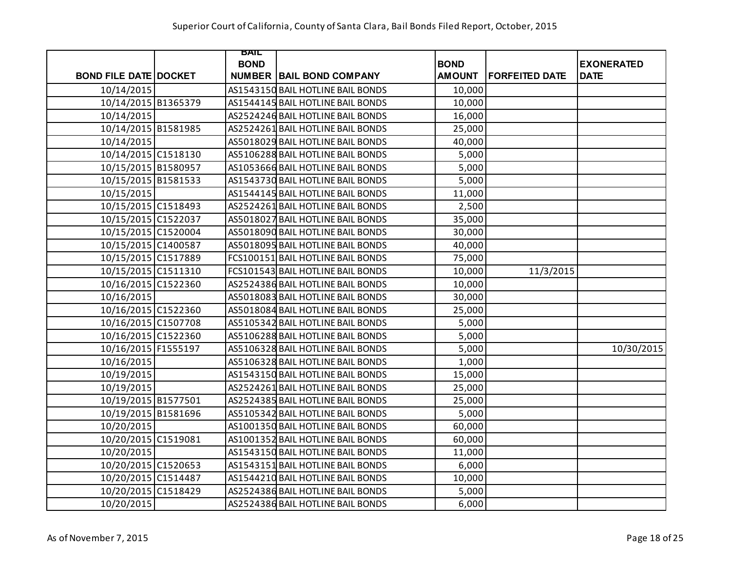|                              | BAIL        |                                   |               |                       |                   |
|------------------------------|-------------|-----------------------------------|---------------|-----------------------|-------------------|
|                              | <b>BOND</b> |                                   | <b>BOND</b>   |                       | <b>EXONERATED</b> |
| <b>BOND FILE DATE DOCKET</b> |             | <b>NUMBER BAIL BOND COMPANY</b>   | <b>AMOUNT</b> | <b>FORFEITED DATE</b> | <b>DATE</b>       |
| 10/14/2015                   |             | AS1543150 BAIL HOTLINE BAIL BONDS | 10,000        |                       |                   |
| 10/14/2015 B1365379          |             | AS1544145 BAIL HOTLINE BAIL BONDS | 10,000        |                       |                   |
| 10/14/2015                   |             | AS2524246 BAIL HOTLINE BAIL BONDS | 16,000        |                       |                   |
| 10/14/2015 B1581985          |             | AS2524261 BAIL HOTLINE BAIL BONDS | 25,000        |                       |                   |
| 10/14/2015                   |             | AS5018029 BAIL HOTLINE BAIL BONDS | 40,000        |                       |                   |
| 10/14/2015 C1518130          |             | AS5106288 BAIL HOTLINE BAIL BONDS | 5,000         |                       |                   |
| 10/15/2015 B1580957          |             | AS1053666 BAIL HOTLINE BAIL BONDS | 5,000         |                       |                   |
| 10/15/2015 B1581533          |             | AS1543730 BAIL HOTLINE BAIL BONDS | 5,000         |                       |                   |
| 10/15/2015                   |             | AS1544145 BAIL HOTLINE BAIL BONDS | 11,000        |                       |                   |
| 10/15/2015 C1518493          |             | AS2524261 BAIL HOTLINE BAIL BONDS | 2,500         |                       |                   |
| 10/15/2015 C1522037          |             | AS5018027 BAIL HOTLINE BAIL BONDS | 35,000        |                       |                   |
| 10/15/2015 C1520004          |             | AS5018090 BAIL HOTLINE BAIL BONDS | 30,000        |                       |                   |
| 10/15/2015 C1400587          |             | AS5018095 BAIL HOTLINE BAIL BONDS | 40,000        |                       |                   |
| 10/15/2015 C1517889          |             | FCS100151 BAIL HOTLINE BAIL BONDS | 75,000        |                       |                   |
| 10/15/2015 C1511310          |             | FCS101543 BAIL HOTLINE BAIL BONDS | 10,000        | 11/3/2015             |                   |
| 10/16/2015 C1522360          |             | AS2524386 BAIL HOTLINE BAIL BONDS | 10,000        |                       |                   |
| 10/16/2015                   |             | AS5018083 BAIL HOTLINE BAIL BONDS | 30,000        |                       |                   |
| 10/16/2015 C1522360          |             | AS5018084 BAIL HOTLINE BAIL BONDS | 25,000        |                       |                   |
| 10/16/2015 C1507708          |             | AS5105342 BAIL HOTLINE BAIL BONDS | 5,000         |                       |                   |
| 10/16/2015 C1522360          |             | AS5106288 BAIL HOTLINE BAIL BONDS | 5,000         |                       |                   |
| 10/16/2015 F1555197          |             | AS5106328 BAIL HOTLINE BAIL BONDS | 5,000         |                       | 10/30/2015        |
| 10/16/2015                   |             | AS5106328 BAIL HOTLINE BAIL BONDS | 1,000         |                       |                   |
| 10/19/2015                   |             | AS1543150 BAIL HOTLINE BAIL BONDS | 15,000        |                       |                   |
| 10/19/2015                   |             | AS2524261 BAIL HOTLINE BAIL BONDS | 25,000        |                       |                   |
| 10/19/2015 B1577501          |             | AS2524385 BAIL HOTLINE BAIL BONDS | 25,000        |                       |                   |
| 10/19/2015 B1581696          |             | AS5105342 BAIL HOTLINE BAIL BONDS | 5,000         |                       |                   |
| 10/20/2015                   |             | AS1001350 BAIL HOTLINE BAIL BONDS | 60,000        |                       |                   |
| 10/20/2015 C1519081          |             | AS1001352 BAIL HOTLINE BAIL BONDS | 60,000        |                       |                   |
| 10/20/2015                   |             | AS1543150 BAIL HOTLINE BAIL BONDS | 11,000        |                       |                   |
| 10/20/2015 C1520653          |             | AS1543151 BAIL HOTLINE BAIL BONDS | 6,000         |                       |                   |
| 10/20/2015 C1514487          |             | AS1544210 BAIL HOTLINE BAIL BONDS | 10,000        |                       |                   |
| 10/20/2015 C1518429          |             | AS2524386 BAIL HOTLINE BAIL BONDS | 5,000         |                       |                   |
| 10/20/2015                   |             | AS2524386 BAIL HOTLINE BAIL BONDS | 6,000         |                       |                   |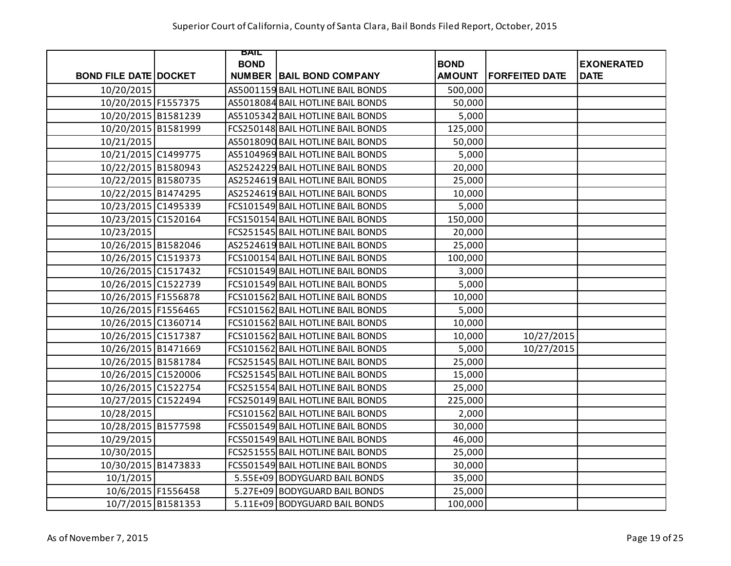|                              |                    | BAIL        |                                   |               |                       |                   |
|------------------------------|--------------------|-------------|-----------------------------------|---------------|-----------------------|-------------------|
|                              |                    | <b>BOND</b> |                                   | <b>BOND</b>   |                       | <b>EXONERATED</b> |
| <b>BOND FILE DATE DOCKET</b> |                    |             | <b>NUMBER   BAIL BOND COMPANY</b> | <b>AMOUNT</b> | <b>FORFEITED DATE</b> | <b>DATE</b>       |
| 10/20/2015                   |                    |             | AS5001159 BAIL HOTLINE BAIL BONDS | 500,000       |                       |                   |
| 10/20/2015 F1557375          |                    |             | AS5018084 BAIL HOTLINE BAIL BONDS | 50,000        |                       |                   |
| 10/20/2015 B1581239          |                    |             | AS5105342 BAIL HOTLINE BAIL BONDS | 5,000         |                       |                   |
| 10/20/2015 B1581999          |                    |             | FCS250148 BAIL HOTLINE BAIL BONDS | 125,000       |                       |                   |
| 10/21/2015                   |                    |             | AS5018090 BAIL HOTLINE BAIL BONDS | 50,000        |                       |                   |
| 10/21/2015 C1499775          |                    |             | AS5104969 BAIL HOTLINE BAIL BONDS | 5,000         |                       |                   |
| 10/22/2015 B1580943          |                    |             | AS2524229 BAIL HOTLINE BAIL BONDS | 20,000        |                       |                   |
| 10/22/2015 B1580735          |                    |             | AS2524619 BAIL HOTLINE BAIL BONDS | 25,000        |                       |                   |
| 10/22/2015 B1474295          |                    |             | AS2524619 BAIL HOTLINE BAIL BONDS | 10,000        |                       |                   |
| 10/23/2015 C1495339          |                    |             | FCS101549 BAIL HOTLINE BAIL BONDS | 5,000         |                       |                   |
| 10/23/2015 C1520164          |                    |             | FCS150154 BAIL HOTLINE BAIL BONDS | 150,000       |                       |                   |
| 10/23/2015                   |                    |             | FCS251545 BAIL HOTLINE BAIL BONDS | 20,000        |                       |                   |
| 10/26/2015 B1582046          |                    |             | AS2524619 BAIL HOTLINE BAIL BONDS | 25,000        |                       |                   |
| 10/26/2015 C1519373          |                    |             | FCS100154 BAIL HOTLINE BAIL BONDS | 100,000       |                       |                   |
| 10/26/2015 C1517432          |                    |             | FCS101549 BAIL HOTLINE BAIL BONDS | 3,000         |                       |                   |
| 10/26/2015 C1522739          |                    |             | FCS101549 BAIL HOTLINE BAIL BONDS | 5,000         |                       |                   |
| 10/26/2015 F1556878          |                    |             | FCS101562 BAIL HOTLINE BAIL BONDS | 10,000        |                       |                   |
| 10/26/2015 F1556465          |                    |             | FCS101562 BAIL HOTLINE BAIL BONDS | 5,000         |                       |                   |
| 10/26/2015 C1360714          |                    |             | FCS101562 BAIL HOTLINE BAIL BONDS | 10,000        |                       |                   |
| 10/26/2015 C1517387          |                    |             | FCS101562 BAIL HOTLINE BAIL BONDS | 10,000        | 10/27/2015            |                   |
| 10/26/2015 B1471669          |                    |             | FCS101562 BAIL HOTLINE BAIL BONDS | 5,000         | 10/27/2015            |                   |
| 10/26/2015 B1581784          |                    |             | FCS251545 BAIL HOTLINE BAIL BONDS | 25,000        |                       |                   |
| 10/26/2015 C1520006          |                    |             | FCS251545 BAIL HOTLINE BAIL BONDS | 15,000        |                       |                   |
| 10/26/2015 C1522754          |                    |             | FCS251554 BAIL HOTLINE BAIL BONDS | 25,000        |                       |                   |
| 10/27/2015 C1522494          |                    |             | FCS250149 BAIL HOTLINE BAIL BONDS | 225,000       |                       |                   |
| 10/28/2015                   |                    |             | FCS101562 BAIL HOTLINE BAIL BONDS | 2,000         |                       |                   |
| 10/28/2015 B1577598          |                    |             | FCS501549 BAIL HOTLINE BAIL BONDS | 30,000        |                       |                   |
| 10/29/2015                   |                    |             | FCS501549 BAIL HOTLINE BAIL BONDS | 46,000        |                       |                   |
| 10/30/2015                   |                    |             | FCS251555 BAIL HOTLINE BAIL BONDS | 25,000        |                       |                   |
| 10/30/2015 B1473833          |                    |             | FCS501549 BAIL HOTLINE BAIL BONDS | 30,000        |                       |                   |
| 10/1/2015                    |                    |             | 5.55E+09 BODYGUARD BAIL BONDS     | 35,000        |                       |                   |
| 10/6/2015 F1556458           |                    |             | 5.27E+09 BODYGUARD BAIL BONDS     | 25,000        |                       |                   |
|                              | 10/7/2015 B1581353 |             | 5.11E+09 BODYGUARD BAIL BONDS     | 100,000       |                       |                   |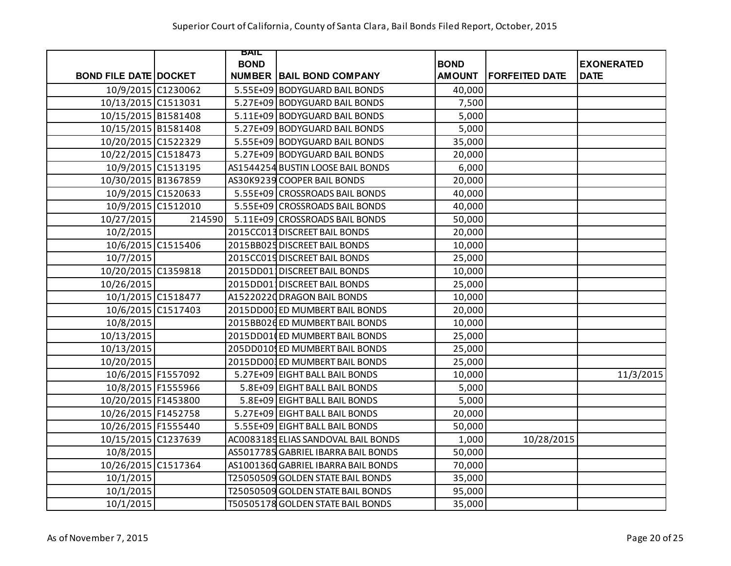|                              |        | BAIL        |                                     |               |                       |                   |
|------------------------------|--------|-------------|-------------------------------------|---------------|-----------------------|-------------------|
|                              |        | <b>BOND</b> |                                     | <b>BOND</b>   |                       | <b>EXONERATED</b> |
| <b>BOND FILE DATE DOCKET</b> |        |             | <b>NUMBER BAIL BOND COMPANY</b>     | <b>AMOUNT</b> | <b>FORFEITED DATE</b> | <b>DATE</b>       |
| 10/9/2015 C1230062           |        |             | 5.55E+09 BODYGUARD BAIL BONDS       | 40,000        |                       |                   |
| 10/13/2015 C1513031          |        |             | 5.27E+09 BODYGUARD BAIL BONDS       | 7,500         |                       |                   |
| 10/15/2015 B1581408          |        |             | 5.11E+09 BODYGUARD BAIL BONDS       | 5,000         |                       |                   |
| 10/15/2015 B1581408          |        |             | 5.27E+09 BODYGUARD BAIL BONDS       | 5,000         |                       |                   |
| 10/20/2015 C1522329          |        |             | 5.55E+09 BODYGUARD BAIL BONDS       | 35,000        |                       |                   |
| 10/22/2015 C1518473          |        |             | 5.27E+09 BODYGUARD BAIL BONDS       | 20,000        |                       |                   |
| 10/9/2015 C1513195           |        |             | AS1544254 BUSTIN LOOSE BAIL BONDS   | 6,000         |                       |                   |
| 10/30/2015 B1367859          |        |             | AS30K9239 COOPER BAIL BONDS         | 20,000        |                       |                   |
| 10/9/2015 C1520633           |        |             | 5.55E+09 CROSSROADS BAIL BONDS      | 40,000        |                       |                   |
| 10/9/2015 C1512010           |        |             | 5.55E+09 CROSSROADS BAIL BONDS      | 40,000        |                       |                   |
| 10/27/2015                   | 214590 |             | 5.11E+09 CROSSROADS BAIL BONDS      | 50,000        |                       |                   |
| 10/2/2015                    |        |             | 2015CC013 DISCREET BAIL BONDS       | 20,000        |                       |                   |
| 10/6/2015 C1515406           |        |             | 2015BB025 DISCREET BAIL BONDS       | 10,000        |                       |                   |
| 10/7/2015                    |        |             | 2015CC019 DISCREET BAIL BONDS       | 25,000        |                       |                   |
| 10/20/2015 C1359818          |        |             | 2015DD011DISCREET BAIL BONDS        | 10,000        |                       |                   |
| 10/26/2015                   |        |             | 2015DD011DISCREET BAIL BONDS        | 25,000        |                       |                   |
| 10/1/2015 C1518477           |        |             | A15220220 DRAGON BAIL BONDS         | 10,000        |                       |                   |
| 10/6/2015 C1517403           |        |             | 2015DD001ED MUMBERT BAIL BONDS      | 20,000        |                       |                   |
| 10/8/2015                    |        |             | 2015BB026 ED MUMBERT BAIL BONDS     | 10,000        |                       |                   |
| 10/13/2015                   |        |             | 2015DD01 ED MUMBERT BAIL BONDS      | 25,000        |                       |                   |
| 10/13/2015                   |        |             | 205DD010 ED MUMBERT BAIL BONDS      | 25,000        |                       |                   |
| 10/20/2015                   |        |             | 2015DD00 ED MUMBERT BAIL BONDS      | 25,000        |                       |                   |
| 10/6/2015 F1557092           |        |             | 5.27E+09 EIGHT BALL BAIL BONDS      | 10,000        |                       | 11/3/2015         |
| 10/8/2015 F1555966           |        |             | 5.8E+09 EIGHT BALL BAIL BONDS       | 5,000         |                       |                   |
| 10/20/2015 F1453800          |        |             | 5.8E+09 EIGHT BALL BAIL BONDS       | 5,000         |                       |                   |
| 10/26/2015 F1452758          |        |             | 5.27E+09 EIGHT BALL BAIL BONDS      | 20,000        |                       |                   |
| 10/26/2015 F1555440          |        |             | 5.55E+09 EIGHT BALL BAIL BONDS      | 50,000        |                       |                   |
| 10/15/2015 C1237639          |        |             | AC0083189 ELIAS SANDOVAL BAIL BONDS | 1,000         | 10/28/2015            |                   |
| 10/8/2015                    |        |             | AS5017785 GABRIEL IBARRA BAIL BONDS | 50,000        |                       |                   |
| 10/26/2015 C1517364          |        |             | AS1001360 GABRIEL IBARRA BAIL BONDS | 70,000        |                       |                   |
| 10/1/2015                    |        |             | T25050509 GOLDEN STATE BAIL BONDS   | 35,000        |                       |                   |
| 10/1/2015                    |        |             | T25050509 GOLDEN STATE BAIL BONDS   | 95,000        |                       |                   |
| 10/1/2015                    |        |             | T50505178 GOLDEN STATE BAIL BONDS   | 35,000        |                       |                   |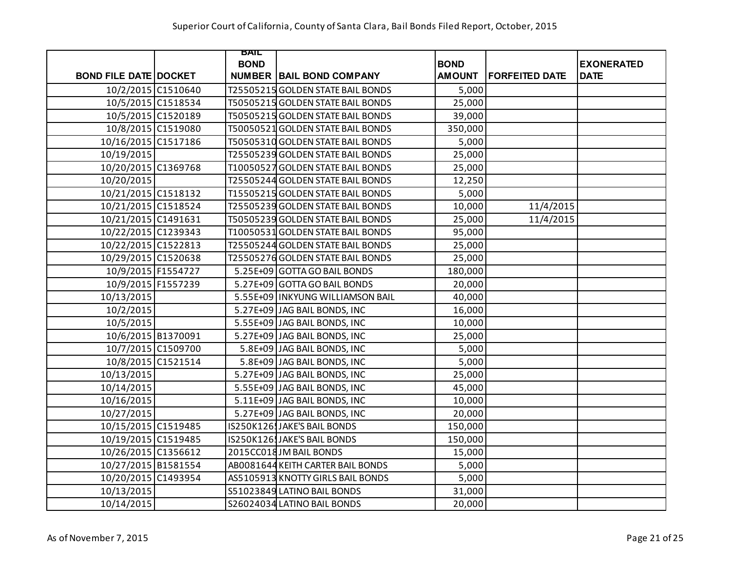|                              |                    | BAIL        |                                    |               |                       |                   |
|------------------------------|--------------------|-------------|------------------------------------|---------------|-----------------------|-------------------|
|                              |                    | <b>BOND</b> |                                    | <b>BOND</b>   |                       | <b>EXONERATED</b> |
| <b>BOND FILE DATE DOCKET</b> |                    |             | <b>NUMBER BAIL BOND COMPANY</b>    | <b>AMOUNT</b> | <b>FORFEITED DATE</b> | <b>DATE</b>       |
|                              | 10/2/2015 C1510640 |             | T25505215 GOLDEN STATE BAIL BONDS  | 5,000         |                       |                   |
|                              | 10/5/2015 C1518534 |             | T50505215 GOLDEN STATE BAIL BONDS  | 25,000        |                       |                   |
| 10/5/2015 C1520189           |                    |             | T50505215 GOLDEN STATE BAIL BONDS  | 39,000        |                       |                   |
|                              | 10/8/2015 C1519080 |             | T50050521 GOLDEN STATE BAIL BONDS  | 350,000       |                       |                   |
| 10/16/2015 C1517186          |                    |             | T50505310 GOLDEN STATE BAIL BONDS  | 5,000         |                       |                   |
| 10/19/2015                   |                    |             | T25505239 GOLDEN STATE BAIL BONDS  | 25,000        |                       |                   |
| 10/20/2015 C1369768          |                    |             | T10050527 GOLDEN STATE BAIL BONDS  | 25,000        |                       |                   |
| 10/20/2015                   |                    |             | T25505244 GOLDEN STATE BAIL BONDS  | 12,250        |                       |                   |
| 10/21/2015 C1518132          |                    |             | T15505215 GOLDEN STATE BAIL BONDS  | 5,000         |                       |                   |
| 10/21/2015 C1518524          |                    |             | T25505239 GOLDEN STATE BAIL BONDS  | 10,000        | 11/4/2015             |                   |
| 10/21/2015 C1491631          |                    |             | T50505239 GOLDEN STATE BAIL BONDS  | 25,000        | 11/4/2015             |                   |
| 10/22/2015 C1239343          |                    |             | T10050531 GOLDEN STATE BAIL BONDS  | 95,000        |                       |                   |
| 10/22/2015 C1522813          |                    |             | T25505244 GOLDEN STATE BAIL BONDS  | 25,000        |                       |                   |
| 10/29/2015 C1520638          |                    |             | T25505276 GOLDEN STATE BAIL BONDS  | 25,000        |                       |                   |
| 10/9/2015 F1554727           |                    |             | 5.25E+09 GOTTA GO BAIL BONDS       | 180,000       |                       |                   |
| 10/9/2015 F1557239           |                    |             | 5.27E+09 GOTTA GO BAIL BONDS       | 20,000        |                       |                   |
| 10/13/2015                   |                    |             | 5.55E+09   INKYUNG WILLIAMSON BAIL | 40,000        |                       |                   |
| 10/2/2015                    |                    |             | 5.27E+09 JAG BAIL BONDS, INC       | 16,000        |                       |                   |
| 10/5/2015                    |                    |             | 5.55E+09 JAG BAIL BONDS, INC       | 10,000        |                       |                   |
| 10/6/2015 B1370091           |                    |             | 5.27E+09 JAG BAIL BONDS, INC       | 25,000        |                       |                   |
|                              | 10/7/2015 C1509700 |             | 5.8E+09 JAG BAIL BONDS, INC        | 5,000         |                       |                   |
|                              | 10/8/2015 C1521514 |             | 5.8E+09 JAG BAIL BONDS, INC        | 5,000         |                       |                   |
| 10/13/2015                   |                    |             | 5.27E+09 JAG BAIL BONDS, INC       | 25,000        |                       |                   |
| 10/14/2015                   |                    |             | 5.55E+09 JAG BAIL BONDS, INC       | 45,000        |                       |                   |
| 10/16/2015                   |                    |             | 5.11E+09 JAG BAIL BONDS, INC       | 10,000        |                       |                   |
| 10/27/2015                   |                    |             | 5.27E+09 JAG BAIL BONDS, INC       | 20,000        |                       |                   |
| 10/15/2015 C1519485          |                    |             | IS250K126 JAKE'S BAIL BONDS        | 150,000       |                       |                   |
| 10/19/2015 C1519485          |                    |             | IS250K126 JAKE'S BAIL BONDS        | 150,000       |                       |                   |
| 10/26/2015 C1356612          |                    |             | 2015CC018JM BAIL BONDS             | 15,000        |                       |                   |
| 10/27/2015 B1581554          |                    |             | AB0081644 KEITH CARTER BAIL BONDS  | 5,000         |                       |                   |
| 10/20/2015 C1493954          |                    |             | AS5105913 KNOTTY GIRLS BAIL BONDS  | 5,000         |                       |                   |
| 10/13/2015                   |                    |             | S51023849 LATINO BAIL BONDS        | 31,000        |                       |                   |
| 10/14/2015                   |                    |             | S26024034 LATINO BAIL BONDS        | 20,000        |                       |                   |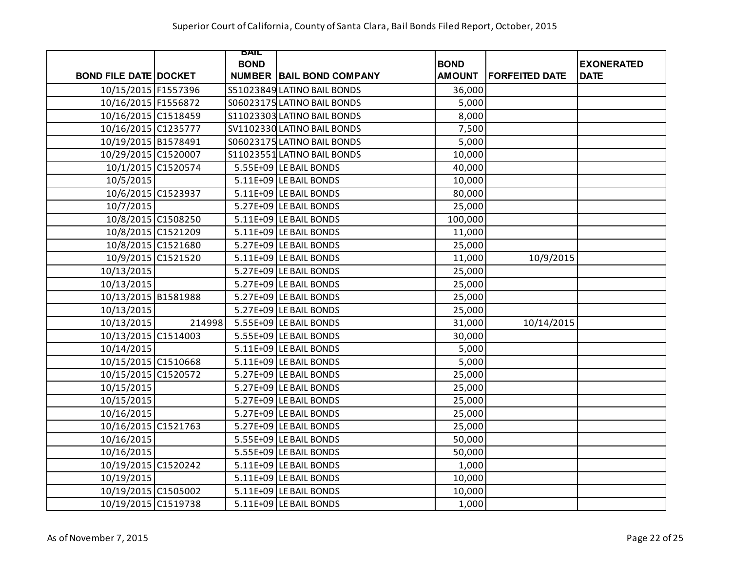|                              |        | BAIL        |                                 |               |                       |                   |
|------------------------------|--------|-------------|---------------------------------|---------------|-----------------------|-------------------|
|                              |        | <b>BOND</b> |                                 | <b>BOND</b>   |                       | <b>EXONERATED</b> |
| <b>BOND FILE DATE DOCKET</b> |        |             | <b>NUMBER BAIL BOND COMPANY</b> | <b>AMOUNT</b> | <b>FORFEITED DATE</b> | <b>DATE</b>       |
| 10/15/2015 F1557396          |        |             | S51023849 LATINO BAIL BONDS     | 36,000        |                       |                   |
| 10/16/2015 F1556872          |        |             | S06023175 LATINO BAIL BONDS     | 5,000         |                       |                   |
| 10/16/2015 C1518459          |        |             | S11023303 LATINO BAIL BONDS     | 8,000         |                       |                   |
| 10/16/2015 C1235777          |        |             | SV1102330 LATINO BAIL BONDS     | 7,500         |                       |                   |
| 10/19/2015 B1578491          |        |             | S06023175 LATINO BAIL BONDS     | 5,000         |                       |                   |
| 10/29/2015 C1520007          |        |             | S11023551 LATINO BAIL BONDS     | 10,000        |                       |                   |
| 10/1/2015 C1520574           |        |             | 5.55E+09 LE BAIL BONDS          | 40,000        |                       |                   |
| 10/5/2015                    |        |             | 5.11E+09 LE BAIL BONDS          | 10,000        |                       |                   |
| 10/6/2015 C1523937           |        |             | 5.11E+09 LE BAIL BONDS          | 80,000        |                       |                   |
| 10/7/2015                    |        |             | 5.27E+09 LE BAIL BONDS          | 25,000        |                       |                   |
| 10/8/2015 C1508250           |        |             | 5.11E+09 LE BAIL BONDS          | 100,000       |                       |                   |
| 10/8/2015 C1521209           |        |             | 5.11E+09 LE BAIL BONDS          | 11,000        |                       |                   |
| 10/8/2015 C1521680           |        |             | 5.27E+09 LE BAIL BONDS          | 25,000        |                       |                   |
| 10/9/2015 C1521520           |        |             | 5.11E+09 LE BAIL BONDS          | 11,000        | 10/9/2015             |                   |
| 10/13/2015                   |        |             | 5.27E+09 LE BAIL BONDS          | 25,000        |                       |                   |
| 10/13/2015                   |        |             | 5.27E+09 LE BAIL BONDS          | 25,000        |                       |                   |
| 10/13/2015 B1581988          |        |             | 5.27E+09 LE BAIL BONDS          | 25,000        |                       |                   |
| 10/13/2015                   |        |             | 5.27E+09 LE BAIL BONDS          | 25,000        |                       |                   |
| 10/13/2015                   | 214998 |             | 5.55E+09 LE BAIL BONDS          | 31,000        | 10/14/2015            |                   |
| 10/13/2015 C1514003          |        |             | 5.55E+09 LE BAIL BONDS          | 30,000        |                       |                   |
| 10/14/2015                   |        |             | 5.11E+09 LE BAIL BONDS          | 5,000         |                       |                   |
| 10/15/2015 C1510668          |        |             | 5.11E+09 LE BAIL BONDS          | 5,000         |                       |                   |
| 10/15/2015 C1520572          |        |             | 5.27E+09 LE BAIL BONDS          | 25,000        |                       |                   |
| 10/15/2015                   |        |             | 5.27E+09 LE BAIL BONDS          | 25,000        |                       |                   |
| 10/15/2015                   |        |             | 5.27E+09 LE BAIL BONDS          | 25,000        |                       |                   |
| 10/16/2015                   |        |             | 5.27E+09 LE BAIL BONDS          | 25,000        |                       |                   |
| 10/16/2015 C1521763          |        |             | 5.27E+09 LE BAIL BONDS          | 25,000        |                       |                   |
| 10/16/2015                   |        |             | 5.55E+09 LE BAIL BONDS          | 50,000        |                       |                   |
| 10/16/2015                   |        |             | 5.55E+09 LE BAIL BONDS          | 50,000        |                       |                   |
| 10/19/2015 C1520242          |        |             | 5.11E+09 LE BAIL BONDS          | 1,000         |                       |                   |
| 10/19/2015                   |        |             | 5.11E+09 LE BAIL BONDS          | 10,000        |                       |                   |
| 10/19/2015 C1505002          |        |             | 5.11E+09 LE BAIL BONDS          | 10,000        |                       |                   |
| 10/19/2015 C1519738          |        |             | 5.11E+09 LE BAIL BONDS          | 1,000         |                       |                   |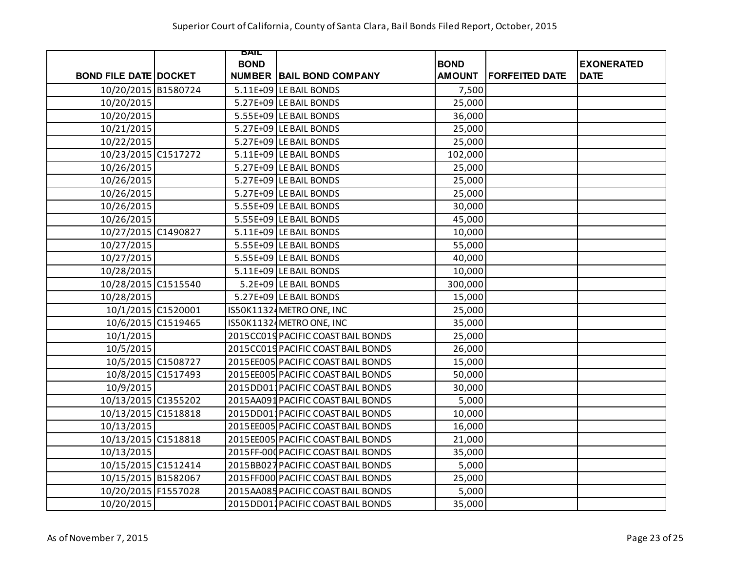|                              | BAIL        |                                     |               |                       |                   |
|------------------------------|-------------|-------------------------------------|---------------|-----------------------|-------------------|
|                              | <b>BOND</b> |                                     | <b>BOND</b>   |                       | <b>EXONERATED</b> |
| <b>BOND FILE DATE DOCKET</b> |             | <b>NUMBER BAIL BOND COMPANY</b>     | <b>AMOUNT</b> | <b>FORFEITED DATE</b> | <b>DATE</b>       |
| 10/20/2015 B1580724          |             | 5.11E+09 LE BAIL BONDS              | 7,500         |                       |                   |
| 10/20/2015                   |             | 5.27E+09 LE BAIL BONDS              | 25,000        |                       |                   |
| 10/20/2015                   |             | 5.55E+09 LE BAIL BONDS              | 36,000        |                       |                   |
| 10/21/2015                   |             | 5.27E+09 LE BAIL BONDS              | 25,000        |                       |                   |
| 10/22/2015                   |             | 5.27E+09 LE BAIL BONDS              | 25,000        |                       |                   |
| 10/23/2015 C1517272          |             | 5.11E+09 LE BAIL BONDS              | 102,000       |                       |                   |
| 10/26/2015                   |             | 5.27E+09 LE BAIL BONDS              | 25,000        |                       |                   |
| 10/26/2015                   |             | 5.27E+09 LE BAIL BONDS              | 25,000        |                       |                   |
| 10/26/2015                   |             | 5.27E+09 LE BAIL BONDS              | 25,000        |                       |                   |
| 10/26/2015                   |             | 5.55E+09 LE BAIL BONDS              | 30,000        |                       |                   |
| 10/26/2015                   |             | 5.55E+09 LE BAIL BONDS              | 45,000        |                       |                   |
| 10/27/2015 C1490827          |             | 5.11E+09 LE BAIL BONDS              | 10,000        |                       |                   |
| 10/27/2015                   |             | 5.55E+09 LE BAIL BONDS              | 55,000        |                       |                   |
| 10/27/2015                   |             | 5.55E+09 LE BAIL BONDS              | 40,000        |                       |                   |
| 10/28/2015                   |             | 5.11E+09 LE BAIL BONDS              | 10,000        |                       |                   |
| 10/28/2015 C1515540          |             | 5.2E+09 LE BAIL BONDS               | 300,000       |                       |                   |
| 10/28/2015                   |             | 5.27E+09 LE BAIL BONDS              | 15,000        |                       |                   |
| 10/1/2015 C1520001           |             | IS50K11324 METRO ONE, INC           | 25,000        |                       |                   |
| 10/6/2015 C1519465           |             | IS50K11324 METRO ONE, INC           | 35,000        |                       |                   |
| 10/1/2015                    |             | 2015CC019 PACIFIC COAST BAIL BONDS  | 25,000        |                       |                   |
| 10/5/2015                    |             | 2015CC019 PACIFIC COAST BAIL BONDS  | 26,000        |                       |                   |
| 10/5/2015 C1508727           |             | 2015EE005 PACIFIC COAST BAIL BONDS  | 15,000        |                       |                   |
| 10/8/2015 C1517493           |             | 2015EE005 PACIFIC COAST BAIL BONDS  | 50,000        |                       |                   |
| 10/9/2015                    |             | 2015DD01 PACIFIC COAST BAIL BONDS   | 30,000        |                       |                   |
| 10/13/2015 C1355202          |             | 2015AA091 PACIFIC COAST BAIL BONDS  | 5,000         |                       |                   |
| 10/13/2015 C1518818          |             | 2015DD011PACIFIC COAST BAIL BONDS   | 10,000        |                       |                   |
| 10/13/2015                   |             | 2015EE005 PACIFIC COAST BAIL BONDS  | 16,000        |                       |                   |
| 10/13/2015 C1518818          |             | 2015EE005 PACIFIC COAST BAIL BONDS  | 21,000        |                       |                   |
| 10/13/2015                   |             | 2015FF-000 PACIFIC COAST BAIL BONDS | 35,000        |                       |                   |
| 10/15/2015 C1512414          |             | 2015BB027 PACIFIC COAST BAIL BONDS  | 5,000         |                       |                   |
| 10/15/2015 B1582067          |             | 2015FF000 PACIFIC COAST BAIL BONDS  | 25,000        |                       |                   |
| 10/20/2015 F1557028          |             | 2015AA085 PACIFIC COAST BAIL BONDS  | 5,000         |                       |                   |
| 10/20/2015                   |             | 2015DD011PACIFIC COAST BAIL BONDS   | 35,000        |                       |                   |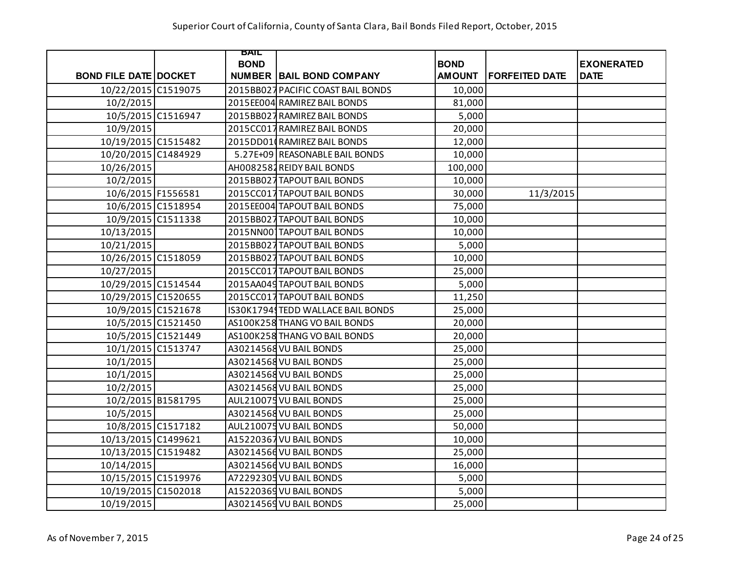|                              | BAIL        |                                    |               |                       |                   |
|------------------------------|-------------|------------------------------------|---------------|-----------------------|-------------------|
|                              | <b>BOND</b> |                                    | <b>BOND</b>   |                       | <b>EXONERATED</b> |
| <b>BOND FILE DATE DOCKET</b> |             | <b>NUMBER BAIL BOND COMPANY</b>    | <b>AMOUNT</b> | <b>FORFEITED DATE</b> | <b>DATE</b>       |
| 10/22/2015 C1519075          |             | 2015BB027 PACIFIC COAST BAIL BONDS | 10,000        |                       |                   |
| 10/2/2015                    |             | 2015EE004 RAMIREZ BAIL BONDS       | 81,000        |                       |                   |
| 10/5/2015 C1516947           |             | 2015BB027 RAMIREZ BAIL BONDS       | 5,000         |                       |                   |
| 10/9/2015                    |             | 2015CC017 RAMIREZ BAIL BONDS       | 20,000        |                       |                   |
| 10/19/2015 C1515482          |             | 2015DD01 RAMIREZ BAIL BONDS        | 12,000        |                       |                   |
| 10/20/2015 C1484929          |             | 5.27E+09 REASONABLE BAIL BONDS     | 10,000        |                       |                   |
| 10/26/2015                   |             | AH0082581 REIDY BAIL BONDS         | 100,000       |                       |                   |
| 10/2/2015                    |             | 2015BB027 TAPOUT BAIL BONDS        | 10,000        |                       |                   |
| 10/6/2015 F1556581           |             | 2015CC017 TAPOUT BAIL BONDS        | 30,000        | 11/3/2015             |                   |
| 10/6/2015 C1518954           |             | 2015EE004 TAPOUT BAIL BONDS        | 75,000        |                       |                   |
| 10/9/2015 C1511338           |             | 2015BB027 TAPOUT BAIL BONDS        | 10,000        |                       |                   |
| 10/13/2015                   |             | 2015NN00 TAPOUT BAIL BONDS         | 10,000        |                       |                   |
| 10/21/2015                   |             | 2015BB027 TAPOUT BAIL BONDS        | 5,000         |                       |                   |
| 10/26/2015 C1518059          |             | 2015BB027 TAPOUT BAIL BONDS        | 10,000        |                       |                   |
| 10/27/2015                   |             | 2015CC017 TAPOUT BAIL BONDS        | 25,000        |                       |                   |
| 10/29/2015 C1514544          |             | 2015AA049 TAPOUT BAIL BONDS        | 5,000         |                       |                   |
| 10/29/2015 C1520655          |             | 2015CC017 TAPOUT BAIL BONDS        | 11,250        |                       |                   |
| 10/9/2015 C1521678           |             | IS30K1794 TEDD WALLACE BAIL BONDS  | 25,000        |                       |                   |
| 10/5/2015 C1521450           |             | AS100K258 THANG VO BAIL BONDS      | 20,000        |                       |                   |
| 10/5/2015 C1521449           |             | AS100K258 THANG VO BAIL BONDS      | 20,000        |                       |                   |
| 10/1/2015 C1513747           |             | A30214568 VU BAIL BONDS            | 25,000        |                       |                   |
| 10/1/2015                    |             | A30214568 VU BAIL BONDS            | 25,000        |                       |                   |
| 10/1/2015                    |             | A30214568 VU BAIL BONDS            | 25,000        |                       |                   |
| 10/2/2015                    |             | A30214568 VU BAIL BONDS            | 25,000        |                       |                   |
| 10/2/2015 B1581795           |             | AUL210075 VU BAIL BONDS            | 25,000        |                       |                   |
| 10/5/2015                    |             | A30214568 VU BAIL BONDS            | 25,000        |                       |                   |
| 10/8/2015 C1517182           |             | AUL210075 VU BAIL BONDS            | 50,000        |                       |                   |
| 10/13/2015 C1499621          |             | A15220367 VU BAIL BONDS            | 10,000        |                       |                   |
| 10/13/2015 C1519482          |             | A30214566 VU BAIL BONDS            | 25,000        |                       |                   |
| 10/14/2015                   |             | A30214566 VU BAIL BONDS            | 16,000        |                       |                   |
| 10/15/2015 C1519976          |             | A72292305 VU BAIL BONDS            | 5,000         |                       |                   |
| 10/19/2015 C1502018          |             | A15220369 VU BAIL BONDS            | 5,000         |                       |                   |
| 10/19/2015                   |             | A30214569 VU BAIL BONDS            | 25,000        |                       |                   |